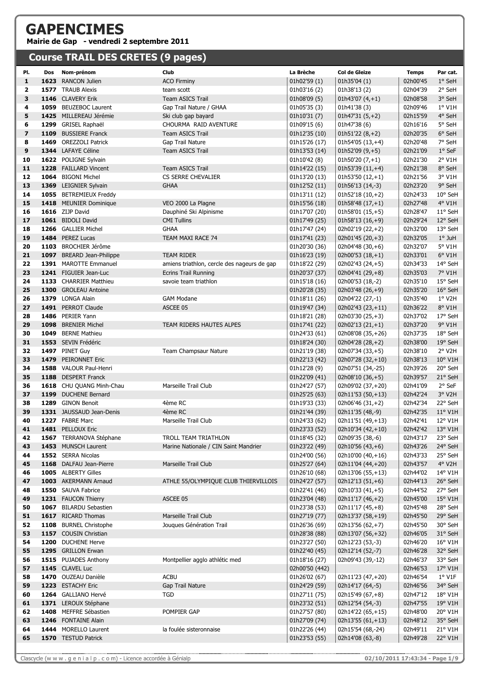## **GAPENCIMES Mairie de Gap - vendredi 2 septembre 2011**

## **Course TRAIL DES CRETES (9 pages)**

| PI.                     | Dos  | Nom-prénom                                | Club                                        | La Brèche                      | <b>Col de Gleize</b>                  | <b>Temps</b>         | Par cat.           |
|-------------------------|------|-------------------------------------------|---------------------------------------------|--------------------------------|---------------------------------------|----------------------|--------------------|
| $\mathbf{1}$            |      | 1623 RANCON Julien                        | <b>ACO Firminy</b>                          | 01h02'59(1)                    | 01h35'04 (1)                          | 02h00'45             | 1° SeH             |
| 2                       |      | 1577 TRAUB Alexis                         | team scott                                  | 01h03'16 (2)                   | 01h38'13 (2)                          | 02h04'39             | 2° SeH             |
| 3                       |      | 1146 CLAVERY Erik                         | <b>Team ASICS Trail</b>                     | 01h08'09 (5)                   | $01h43'07(4,+1)$                      | 02h08'58             | 3° SeH             |
| 4                       |      | 1059 BEUZEBOC Laurent                     | Gap Trail Nature / GHAA                     | 01h05'35 (3)                   | 01h41'38 (3)                          | 02h09'46             | $1°$ V1H           |
| 5                       |      | 1425 MILLEREAU Jérémie                    | Ski club gap bayard                         | 01h10'31(7)                    | $01h47'31(5,+2)$                      | 02h15'59             | 4° SeH             |
| 6                       |      | 1299 GRISEL Raphaël                       | CHOURMA RAID AVENTURE                       | 01h09'15 (6)                   | 01h47'38 (6)                          | 02h16'16             | 5° SeH             |
| $\overline{\mathbf{z}}$ | 1109 | <b>BUSSIERE Franck</b>                    | <b>Team ASICS Trail</b>                     | 01h12'35 (10)                  | $01h51'22(8,+2)$                      | 02h20'35             | 6° SeH             |
| 8                       |      | 1469 OREZZOLI Patrick                     | Gap Trail Nature                            | 01h15'26 (17)                  | $01h54'05(13,+4)$                     | 02h20'48             | 7° SeH             |
| 9                       |      | 1344 LAFAYE Céline                        | <b>Team ASICS Trail</b>                     | 01h13'53 (14)                  | $01h52'09(9,+5)$                      | 02h21'09             | $1°$ SeF           |
| 10                      |      | 1622 POLIGNE Sylvain                      |                                             | 01h10'42 (8)                   | $01h50'20(7,+1)$                      | 02h21'30             | 2° V1H             |
| 11                      |      | 1228 FAILLARD Vincent                     | <b>Team ASICS Trail</b>                     | 01h14'22 (15)                  | $01h53'39(11,+4)$                     | 02h21'38             | 8° SeH             |
| 12                      |      | 1064 BIGONI Michel                        | CS SERRE CHEVALIER                          | 01h13'20 (13)                  | $01h53'50(12,+1)$                     | 02h21'56             | 3° V1H             |
| 13                      |      | 1369 LEIGNIER Sylvain                     | <b>GHAA</b>                                 | 01h12'52 (11)                  | 01h56'13 (14,-3)                      | 02h23'20             | 9° SeH             |
| 14                      |      | 1055 BETREMIEUX Freddy                    |                                             | 01h13'11 (12)                  | $01h52'18(10,+2)$                     | 02h24'33             | 10° SeH            |
| 15                      |      | 1418 MEUNIER Dominique                    | VEO 2000 La Plagne                          | 01h15'56 (18)                  | $01h58'48(17,+1)$                     | 02h27'48             | 4° V1H             |
| 16<br>17                |      | 1616 ZIJP David<br>1061 BIDOLI David      | Dauphiné Ski Alpinisme                      | 01h17'07 (20)                  | $01h58'01(15,+5)$                     | 02h28'47<br>02h29'24 | 11° SeH<br>12° SeH |
| 18                      |      | 1266 GALLIER Michel                       | <b>CMI Tullins</b><br><b>GHAA</b>           | 01h17'49 (25)<br>01h17'47 (24) | $01h58'13(16,+9)$<br>02h02'19 (22,+2) | 02h32'00             | 13° SeH            |
| 19                      |      | 1484 PEREZ Lucas                          | TEAM MAXI RACE 74                           | 01h17'41 (23)                  | $02h01'45(20,+3)$                     | 02h32'05             | $1°$ JuH           |
| 20                      |      | 1103 BROCHIER Jérôme                      |                                             | 01h20'30 (36)                  | $02h04'48(30,+6)$                     | 02h32'07             | 5° V1H             |
| 21                      |      | 1097 BREARD Jean-Philippe                 | <b>TEAM RIDER</b>                           | 01h16'23 (19)                  | $02h00'53(18,+1)$                     | 02h33'01             | $6°$ V1H           |
| 22                      |      | 1391 MAROTTE Emmanuel                     | amiens triathlon, cercle des nageurs de gap | 01h18'22 (29)                  | 02h02'43 (24,+5)                      | 02h34'33             | 14° SeH            |
| 23                      |      | 1241 FIGUIER Jean-Luc                     | <b>Ecrins Trail Running</b>                 | 01h20'37 (37)                  | 02h04'41 (29,+8)                      | 02h35'03             | 7° V1H             |
| 24                      |      | 1133 CHARRIER Matthieu                    | savoie team triathlon                       | 01h15'18 (16)                  | 02h00'53 (18,-2)                      | 02h35'10             | 15° SeH            |
| 25                      |      | 1300 GROLEAU Antoine                      |                                             | 01h20'28 (35)                  | $02h03'48(26,+9)$                     | 02h35'20             | 16° SeH            |
| 26                      |      | 1379 LONGA Alain                          | <b>GAM Modane</b>                           | 01h18'11 (26)                  | 02h04'22 (27,-1)                      | 02h35'40             | 1° V2H             |
| 27                      |      | 1491 PERROT Claude                        | ASCEE 05                                    | 01h19'47 (34)                  | 02h02'43 (23,+11)                     | 02h36'22             | 8° V1H             |
| 28                      |      | 1486 PERIER Yann                          |                                             | 01h18'21 (28)                  | $02h03'30(25,+3)$                     | 02h37'02             | 17° SeH            |
| 29                      |      | 1098 BRENIER Michel                       | TEAM RIDERS HAUTES ALPES                    | 01h17'41 (22)                  | $02h02'13(21,+1)$                     | 02h37'20             | 9° V1H             |
| 30                      |      | 1049 BERNE Mathieu                        |                                             | 01h24'33 (61)                  | 02h08'08 (35,+26)                     | 02h37'35             | 18° SeH            |
| 31                      |      | 1553 SEVIN Frédéric                       |                                             | 01h18'24 (30)                  | 02h04'28 (28,+2)                      | 02h38'00             | 19° SeH            |
| 32                      |      | 1497 PINET Guy                            | Team Champsaur Nature                       | 01h21'19 (38)                  | 02h07'34 (33,+5)                      | 02h38'10             | 2° V2H             |
| 33                      |      | 1479 PEIRONNET Eric                       |                                             | 01h22'13 (42)                  | 02h07'28 (32,+10)                     | 02h38'13             | 10° V1H            |
| 34                      |      | 1588 VALOUR Paul-Henri                    |                                             | 01h12'28 (9)                   | 02h07'51 (34,-25)                     | 02h39'26             | 20° SeH            |
| 35                      |      | 1188 DESPERT Franck                       |                                             | 01h22'09 (41)                  | $02h08'10(36,+5)$                     | 02h39'57             | 21° SeH            |
| 36                      |      | 1618 CHU QUANG Minh-Chau                  | Marseille Trail Club                        | 01h24'27 (57)                  | 02h09'02 (37,+20)                     | 02h41'09             | 2° SeF             |
| 37                      |      | 1199 DUCHENE Bernard                      |                                             | 01h25'25 (63)                  | $02h11'53(50,+13)$                    | 02h42'24             | 3° V2H             |
| 38                      |      | 1289 GINON Benoit                         | 4ème RC                                     | 01h19'33 (33)                  | 02h06'46 $(31,+2)$                    | 02h42'34             | 22° SeH            |
| 39                      |      | 1331 JAUSSAUD Jean-Denis                  | 4ème RC                                     | 01h21'44 (39)                  | 02h11'35 (48,-9)                      | 02h42'35             | 11° V1H            |
| 40                      |      | 1227 FABRE Marc                           | Marseille Trail Club                        | 01h24'33 (62)                  | 02h11'51 (49,+13)                     | 02h42'41             | 12° V1H            |
| 41                      |      | 1481 PELLOUX Eric                         |                                             | 01h23'33 (52)                  | 02h10'34 (42,+10)                     | 02h42'42             | 13° V1H            |
| 42                      |      | 1567 TERRANOVA Stéphane                   | TROLL TEAM TRIATHLON                        | 01h18'45 (32)                  | 02h09'35 (38,-6)                      | 02h43'17             | 23° SeH<br>24° SeH |
| 43<br>44                |      | 1453 MUNSCH Laurent<br>1552 SERRA Nicolas | Marine Nationale / CIN Saint Mandrier       | 01h23'22 (49)<br>01h24'00 (56) | 02h10'56 (43,+6)<br>02h10'00 (40,+16) | 02h43'26<br>02h43'33 | 25° SeH            |
| 45                      |      | 1168 DALFAU Jean-Pierre                   | Marseille Trail Club                        | 01h25'27 (64)                  | 02h11'04 (44,+20)                     | 02h43'57             | 4° V2H             |
| 46                      |      | 1005 ALBERTY Gilles                       |                                             | 01h26'10 (68)                  | 02h13'06 (55,+13)                     | 02h44'02             | 14° V1H            |
| 47                      |      | 1003 AKERMANN Arnaud                      | ATHLE 55/OLYMPIQUE CLUB THIERVILLOIS        | 01h24'27 (57)                  | $02h12'13(51,+6)$                     | 02h44'13             | 26° SeH            |
| 48                      |      | 1550 SAUVA Fabrice                        |                                             | 01h22'41 (46)                  | 02h10'33 (41,+5)                      | 02h44'52             | 27° SeH            |
| 49                      |      | 1231 FAUCON Thierry                       | ASCEE 05                                    | 01h23'04 (48)                  | 02h11'17 (46,+2)                      | 02h45'00             | 15° V1H            |
| 50                      |      | 1067 BILARDU Sebastien                    |                                             | 01h23'38 (53)                  | $02h11'17(45,+8)$                     | 02h45'48             | 28° SeH            |
| 51                      |      | 1617 RICARD Thomas                        | Marseille Trail Club                        | 01h27'19 (77)                  | 02h13'37 (58,+19)                     | 02h45'50             | 29° SeH            |
| 52                      |      | 1108 BURNEL Christophe                    | Jouques Génération Trail                    | 01h26'36 (69)                  | 02h13'56 (62,+7)                      | 02h45'50             | 30° SeH            |
| 53                      |      | 1157 COUSIN Christian                     |                                             | 01h28'38 (88)                  | 02h13'07 (56,+32)                     | 02h46'05             | 31° SeH            |
| 54                      |      | 1200 DUCHENE Herve                        |                                             | 01h23'27 (50)                  | 02h12'23 (53,-3)                      | 02h46'20             | 16° V1H            |
| 55                      |      | 1295 GRILLON Erwan                        |                                             | 01h22'40 (45)                  | 02h12'14 (52,-7)                      | 02h46'28             | 32° SeH            |
| 56                      |      | 1515 PUJADES Anthony                      | Montpellier agglo athlétic med              | 01h18'16 (27)                  | 02h09'43 (39,-12)                     | 02h46'37             | 33° SeH            |
| 57                      |      | 1145 CLAVEL Luc                           |                                             | 02h00'50 (442)                 |                                       | 02h46'53             | $17^{\circ}$ V1H   |
| 58                      |      | 1470 OUZEAU Danièle                       | <b>ACBU</b>                                 | 01h26'02 (67)                  | 02h11'23 (47,+20)                     | 02h46'54             | $1°$ V1F           |
| 59                      |      | 1223 ESTACHY Eric                         | Gap Trail Nature                            | 01h24'29 (59)                  | 02h14'17 (64,-5)                      | 02h46'56             | 34° SeH            |
| 60                      |      | 1264 GALLIANO Hervé                       | <b>TGD</b>                                  | 01h27'11 (75)                  | 02h15'49 (67,+8)                      | 02h47'12             | 18° V1H            |
| 61                      |      | 1371 LEROUX Stéphane                      |                                             | 01h23'32 (51)                  | 02h12'54 (54,-3)                      | 02h47'55             | 19° V1H            |
| 62                      |      | 1408 MEFFRE Sébastien                     | POMPIER GAP                                 | 01h27'57 (80)                  | 02h14'22 (65,+15)                     | 02h48'00             | 20° V1H            |
| 63                      |      | 1246 FONTAINE Alain                       |                                             | 01h27'09 (74)                  | 02h13'55 (61,+13)                     | 02h48'12             | 35° SeH            |
| 64                      |      | 1444 MORELLO Laurent                      | la foulée sisteronnaise                     | 01h22'26 (44)                  | 02h15'54 (68,-24)                     | 02h49'11             | 21° V1H            |
| 65                      |      | 1570 TESTUD Patrick                       |                                             | 01h23'53 (55)                  | 02h14'08 (63,-8)                      | 02h49'28             | 22° V1H            |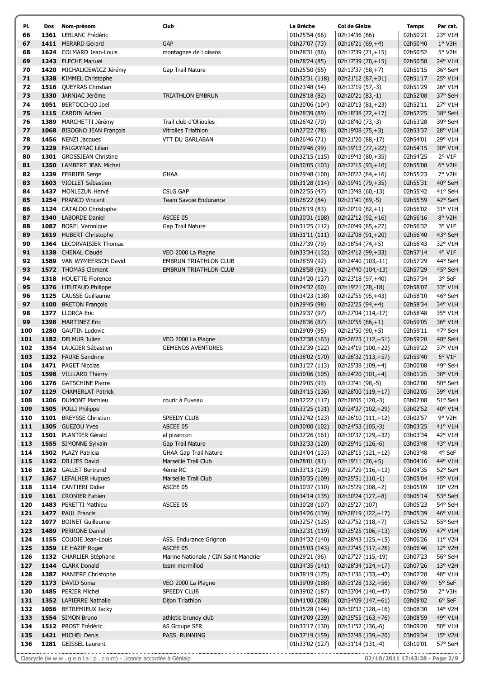| PI. | Dos | Nom-prénom                 | Club                                  | La Brèche      | Col de Gleize       | <b>Temps</b> | Par cat.         |
|-----|-----|----------------------------|---------------------------------------|----------------|---------------------|--------------|------------------|
| 66  |     | 1361 LEBLANC Frédéric      |                                       | 01h25'54 (66)  | 02h14'36 (66)       | 02h50'21     | 23° V1H          |
| 67  |     | 1411 MERARD Gerard         | <b>GAP</b>                            | 01h27'07 (73)  | 02h16'21 (69,+4)    | 02h50'40     | $1°$ V3H         |
| 68  |     | 1624 COLMARD Jean-Louis    | montagnes de I oisans                 | 01h28'31 (86)  | 02h17'39 (71,+15)   | 02h50'52     | 5° V2H           |
| 69  |     | 1243 FLECHE Manuel         |                                       | 01h28'24 (85)  | 02h17'39 (70,+15)   | 02h50'58     | 24° V1H          |
| 70  |     | 1420 MICHALKIEWICZ Jérémy  | Gap Trail Nature                      | 01h25'50 (65)  | 02h13'37 (58,+7)    | 02h51'15     | 36° SeH          |
| 71  |     | 1338 KIMMEL Christophe     |                                       | 01h32'31 (118) | 02h21'12 (87,+31)   | 02h51'17     | 25° V1H          |
| 72  |     | 1516 QUEYRAS Christian     |                                       | 01h23'48 (54)  | 02h13'19 (57,-3)    | 02h51'29     | 26° V1H          |
| 73  |     | 1330 JARNIAC Jérôme        | <b>TRIATHLON EMBRUN</b>               | 01h28'18 (82)  | 02h20'21 (83,-1)    | 02h52'08     | 37° SeH          |
| 74  |     | 1051 BERTOCCHIO Joel       |                                       | 01h30'06 (104) | 02h20'13 (81,+23)   | 02h52'11     | 27° V1H          |
| 75  |     | 1115 CARDIN Adrien         |                                       | 01h28'39 (89)  | 02h18'38 (72,+17)   | 02h52'25     | 38° SeH          |
| 76  |     | 1389 MARCHETTI Jérémy      | Trail club d'Ollioules                | 01h26'42 (70)  | 02h18'40 (73,-3)    | 02h53'28     | 39° SeH          |
| 77  |     | 1068 BISOGNO JEAN François | <b>Vitrolles Triathlon</b>            | 01h27'22 (78)  | 02h19'08 (75,+3)    | 02h53'37     | 28° V1H          |
| 78  |     | 1456 NENZI Jacques         | VTT DU GARLABAN                       | 01h26'46 (71)  | 02h21'20 (88,-17)   | 02h54'01     | 29° V1H          |
| 79  |     | 1229 FALGAYRAC Lilian      |                                       | 01h29'46 (99)  | 02h19'13 (77,+22)   | 02h54'15     | 30° V1H          |
| 80  |     | 1301 GROSSJEAN Christine   |                                       | 01h32'15 (115) | 02h19'43 (80,+35)   | 02h54'25     | 2° V1F           |
| 81  |     | 1350 LAMBERT JEAN Michel   |                                       | 01h30'05 (103) | 02h22'15 (93,+10)   | 02h55'08     | 6° V2H           |
| 82  |     | 1239 FERRIER Serge         | <b>GHAA</b>                           | 01h29'48 (100) | 02h20'22 (84,+16)   | 02h55'23     | 7° V2H           |
| 83  |     | 1603 VIOLLET Sébastien     |                                       | 01h31'28 (114) | 02h19'41 (79,+35)   | 02h55'31     | 40° SeH          |
| 84  |     | 1437 MONLEZUN Hervé        | <b>CSLG GAP</b>                       | 01h22'55 (47)  | 02h13'48 (60,-13)   | 02h55'42     | 41° SeH          |
| 85  |     | 1254 FRANCO Vincent        | Team Savoie Endurance                 | 01h28'22 (84)  | 02h21'41 (89,-5)    | 02h55'59     | 42° SeH          |
| 86  |     | 1124 CATALDO Christophe    |                                       | 01h28'19 (83)  | 02h20'19 (82,+1)    | 02h56'02     | 31° V1H          |
| 87  |     | 1340 LABORDE Daniel        | ASCEE 05                              | 01h30'31 (108) | 02h22'12 (92,+16)   | 02h56'16     | 8° V2H           |
| 88  |     | 1087 BOREL Veronique       | Gap Trail Nature                      | 01h31'25 (112) | 02h20'49 (85,+27)   | 02h56'32     | 3° V1F           |
| 89  |     | 1619 HUBERT Christophe     |                                       | 01h31'11 (111) | 02h22'08 (91,+20)   | 02h56'40     | 43° SeH          |
| 90  |     | 1364 LECORVAISIER Thomas   |                                       | 01h27'39 (79)  | 02h18'54 (74,+5)    | 02h56'43     | 32° V1H          |
| 91  |     | 1138 CHENAL Claude         | VEO 2000 La Plagne                    | 01h33'34 (132) | 02h24'12 (99,+33)   | 02h57'14     | 4° V1F           |
| 92  |     | 1589 VAN WYMEERSCH David   | <b>EMBRUN TRIATHLON CLUB</b>          | 01h28'59 (92)  | 02h24'40 (103,-11)  | 02h57'29     | 44° SeH          |
| 93  |     | 1572 THOMAS Clement        | <b>EMBRUN TRIATHLON CLUB</b>          | 01h28'58 (91)  | 02h24'40 (104,-13)  | 02h57'29     | 45° SeH          |
| 94  |     | 1318 HOUETTE Florence      |                                       | 01h34'20 (137) | 02h23'18 (97,+40)   | 02h57'34     | 3° SeF           |
| 95  |     | 1376 LIEUTAUD Philippe     |                                       | 01h24'32 (60)  | 02h19'21 (78,-18)   | 02h58'07     | 33° V1H          |
| 96  |     | 1125 CAUSSE Guillaume      |                                       | 01h34'23 (138) | 02h22'55 (95,+43)   | 02h58'10     | 46° SeH          |
| 97  |     | 1100 BRETON François       |                                       | 01h29'45 (98)  | 02h22'25 (94,+4)    | 02h58'34     | 34° V1H          |
| 98  |     | 1377 LLORCA Eric           |                                       | 01h29'37 (97)  | 02h27'04 (114,-17)  | 02h58'48     | 35° V1H          |
| 99  |     | 1398 MARTINEZ Eric         |                                       | 01h28'36 (87)  | 02h20'55 $(86, +1)$ | 02h59'05     | 36° V1H          |
| 100 |     | 1280 GAUTIN Ludovic        |                                       | 01h29'09 (95)  | 02h21'50 (90,+5)    | 02h59'11     | 47° SeH          |
| 101 |     | 1182 DELMUR Julien         | VEO 2000 La Plagne                    | 01h37'38 (163) | 02h26'23 (112,+51)  | 02h59'20     | 48° SeH          |
| 102 |     | 1354 LAUGIER Sébastien     | <b>GEMENOS AVENTURES</b>              | 01h32'39 (122) | 02h24'19 (100,+22)  | 02h59'22     | 37° V1H          |
| 103 |     | 1232 FAURE Sandrine        |                                       | 01h38'02 (170) | 02h26'32 (113,+57)  | 02h59'40     | 5° V1F           |
| 104 |     | 1471 PAGET Nicolas         |                                       | 01h31'27 (113) | 02h25'38 (109,+4)   | 03h00'08     | 49° SeH          |
| 105 |     | 1598 VILLLARD Thierry      |                                       | 01h30'06 (105) | 02h24'20 $(101,+4)$ | 03h01'25     | 38° V1H          |
| 106 |     | 1276 GATSCHINE Pierre      |                                       | 01h29'05 (93)  | 02h23'41 (98,-5)    | 03h02'00     | 50° SeH          |
| 107 |     | 1129 CHAMERLAT Patrick     |                                       | 01h34'15 (136) | 02h28'00 (119,+17)  | 03h02'05     | 39° V1H          |
| 108 |     | 1206 DUMONT Mathieu        | courir à Fuveau                       | 01h32'22 (117) | 02h28'05 (120,-3)   | 03h02'08     | 51° SeH          |
| 109 |     | 1505 POLLI Philippe        |                                       | 01h33'25 (131) | 02h24'37 (102,+29)  | 03h02'52     | 40° V1H          |
| 110 |     | 1101 BREYSSE Christian     | SPEEDY CLUB                           | 01h32'42 (123) | 02h26'10 (111,+12)  | 03h02'57     | 9° V2H           |
| 111 |     | 1305 GUEZOU Yves           | ASCEE 05                              | 01h30'00 (102) | 02h24'53 (105,-3)   | 03h03'25     | 41° V1H          |
| 112 |     | 1501 PLANTIER Gérald       | al pizancon                           | 01h37'26 (161) | 02h30'37 (129,+32)  | 03h03'34     | 42° V1H          |
| 113 |     | 1555 SIMONNE Sylvain       | Gap Trail Nature                      | 01h32'33 (120) | 02h29'41 (126,-6)   | 03h03'48     | 43° V1H          |
| 114 |     | 1502 PLAZY Patricia        | <b>GHAA Gap Trail Nature</b>          | 01h34'04 (133) | 02h28'15 (121,+12)  | 03h03'48     | 4° SeF           |
| 115 |     | 1192 DILLIES David         | Marseille Trail Club                  | 01h28'01 (81)  | 02h19'11 (76,+5)    | 03h04'16     | 44° V1H          |
| 116 |     | 1262 GALLET Bertrand       | 4ème RC                               | 01h33'13 (129) | 02h27'29 (116,+13)  | 03h04'35     | 52° SeH          |
| 117 |     | 1367 LEFALHER Hugues       | Marseille Trail Club                  | 01h30'35 (109) | 02h25'51 (110,-1)   | 03h05'04     | 45° V1H          |
| 118 |     | 1114 CANTIERI Didier       | ASCEE 05                              | 01h30'37 (110) | 02h25'29 (108,+2)   | 03h05'09     | $10^{\circ}$ V2H |
| 119 |     | 1161 CRONIER Fabien        |                                       | 01h34'14 (135) | 02h30'24 (127,+8)   | 03h05'14     | 53° SeH          |
| 120 |     | 1483 PERETTI Mathieu       | ASCEE 05                              | 01h30'28 (107) | 02h25'27 (107)      | 03h05'23     | 54° SeH          |
| 121 |     | 1477 PAUL Francis          |                                       | 01h34'26 (139) | 02h28'19 (122,+17)  | 03h05'39     | 46° V1H          |
| 122 |     | 1077 BOINET Guillaume      |                                       | 01h32'57 (125) | 02h27'52 (118,+7)   | 03h05'52     | 55° SeH          |
| 123 |     | 1489 PERRONE Daniel        |                                       | 01h32'31 (119) | 02h25'25 (106,+13)  | 03h06'09     | 47° V1H          |
| 124 |     | 1155 COUDIE Jean-Louis     | ASS. Endurance Grignon                | 01h34'32 (140) | 02h28'43 (125,+15)  | 03h06'26     | 11° V2H          |
| 125 |     | 1359 LE HAZIF Roger        | ASCEE 05                              | 01h35'03 (143) | 02h27'45 (117,+26)  | 03h06'46     | $12^{\circ}$ V2H |
| 126 |     | 1132 CHARLIER Stéphane     | Marine Nationale / CIN Saint Mandrier | 01h29'21 (96)  | 02h27'27 (115,-19)  | 03h07'23     | 56° SeH          |
| 127 |     | 1144 CLARK Donald          | team mermillod                        | 01h34'35 (141) | 02h28'34 (124,+17)  | 03h07'26     | 13° V2H          |
| 128 |     | 1387 MANIERE Christophe    |                                       | 01h38'19 (175) | 02h31'36 (133,+42)  | 03h07'28     | 48° V1H          |
| 129 |     | 1173 DAVID Sonia           | VEO 2000 La Plagne                    | 01h39'09 (188) | 02h31'28 (132,+56)  | 03h07'49     | 5° SeF           |
| 130 |     | 1485 PERIER Michel         | SPEEDY CLUB                           | 01h39'02 (187) | 02h33'04 (140,+47)  | 03h07'50     | 2° V3H           |
| 131 |     | 1352 LAPIERRE Nathalie     | Dijon Triathlon                       | 01h41'00 (208) | 02h34'09 (147,+61)  | 03h08'02     | 6° SeF           |
| 132 |     | 1056 BETREMIEUX Jacky      |                                       | 01h35'28 (144) | 02h30'32 (128,+16)  | 03h08'30     | 14° V2H          |
| 133 |     | 1554 SIMON Bruno           | athletic brunoy club                  | 01h43'09 (239) | 02h35'55 (163,+76)  | 03h08'59     | 49° V1H          |
| 134 |     | 1512 PROST Frédéric        | AS Groupe SFR                         | 01h33'17 (130) | 02h31'52 (136,-6)   | 03h09'20     | 50° V1H          |
| 135 |     | 1421 MICHEL Denis          | PASS RUNNING                          | 01h37'19 (159) | 02h32'48 (139,+20)  | 03h09'34     | $15^{\circ}$ V2H |
| 136 |     | 1281 GEISSEL Laurent       |                                       | 01h33'02 (127) | 02h31'14 (131,-4)   | 03h10'01     | 57° SeH          |
|     |     |                            |                                       |                |                     |              |                  |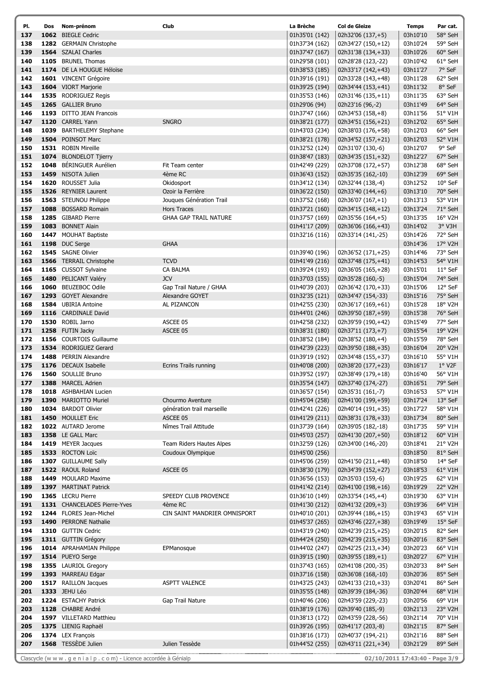| PI. | Dos  | Nom-prénom                   | Club                         | La Brèche      | Col de Gleize       | <b>Temps</b> | Par cat.              |
|-----|------|------------------------------|------------------------------|----------------|---------------------|--------------|-----------------------|
| 137 |      | 1062 BIEGLE Cedric           |                              | 01h35'01 (142) | 02h32'06 (137,+5)   | 03h10'10     | 58° SeH               |
| 138 |      | 1282 GERMAIN Christophe      |                              | 01h37'34 (162) | 02h34'27 (150,+12)  | 03h10'24     | 59° SeH               |
| 139 |      | 1564 SZALAI Charles          |                              | 01h37'47 (167) | 02h31'38 (134,+33)  | 03h10'26     | 60° SeH               |
| 140 |      | 1105 BRUNEL Thomas           |                              | 01h29'58 (101) | 02h28'28 (123,-22)  | 03h10'42     | 61° SeH               |
| 141 |      | 1174 DE LA HOUGUE Héloïse    |                              | 01h38'53 (185) | 02h33'17 (142,+43)  | 03h11'27     | 7° SeF                |
| 142 |      | 1601 VINCENT Grégoire        |                              | 01h39'16 (191) | 02h33'28 (143,+48)  | 03h11'28     | 62° SeH               |
| 143 |      | 1604 VIORT Marjorie          |                              | 01h39'25 (194) | 02h34'44 (153,+41)  | 03h11'32     | 8° SeF                |
| 144 |      | 1535 RODRIGUEZ Regis         |                              | 01h35'53 (146) | 02h31'46 (135,+11)  | 03h11'35     | 63° SeH               |
| 145 |      | 1265 GALLIER Bruno           |                              | 01h29'06 (94)  | 02h23'16 (96,-2)    | 03h11'49     | 64° SeH               |
| 146 |      | 1193 DITTO JEAN Francois     |                              | 01h37'47 (166) | $02h34'53(158,+8)$  | 03h11'56     | 51° V1H               |
| 147 |      | 1120 CARREL Yann             | <b>SNGRO</b>                 | 01h38'21 (177) | 02h34'51 (156,+21)  | 03h12'02     | 65° SeH               |
| 148 |      | 1039 BARTHELEMY Stephane     |                              | 01h43'03 (234) | 02h38'03 (176,+58)  | 03h12'03     | 66° SeH               |
| 149 |      | 1504 POINSOT Marc            |                              | 01h38'21 (178) | 02h34'52 (157,+21)  | 03h12'03     | 52° V1H               |
| 150 |      | 1531 ROBIN Mireille          |                              | 01h32'52 (124) | 02h31'07 (130,-6)   | 03h12'07     | 9° SeF                |
| 151 |      | 1074 BLONDELOT Tjierry       |                              | 01h38'47 (183) | 02h34'35 (151,+32)  | 03h12'27     | 67° SeH               |
| 152 | 1048 | BÉRINGUER Aurélien           | Fit Team center              | 01h42'49 (229) | 02h37'08 (172,+57)  | 03h12'38     | 68° SeH               |
| 153 |      | 1459 NISOTA Julien           | 4ème RC                      | 01h36'43 (152) | 02h35'35 (162,-10)  | 03h12'39     | 69° SeH               |
| 154 |      | 1620 ROUSSET Julia           | Okidosport                   | 01h34'12 (134) | 02h32'44 (138,-4)   | 03h12'52     | 10° SeF               |
| 155 |      | 1526 REYNIER Laurent         | Ozoir la Ferrière            | 01h36'22 (150) | 02h33'40 (144,+6)   | 03h13'10     | 70° SeH               |
| 156 |      | 1563 STEUNOU Philippe        | Jouques Génération Trail     | 01h37'52 (168) | 02h36'07 (167,+1)   | 03h13'13     | 53° V1H               |
| 157 |      | 1088 BOSSARD Romain          | <b>Hors Traces</b>           | 01h37'21 (160) | 02h34'15 (148,+12)  | 03h13'24     | 71° SeH               |
| 158 |      | 1285 GIBARD Pierre           | <b>GHAA GAP TRAIL NATURE</b> | 01h37'57 (169) | 02h35'56 (164,+5)   | 03h13'35     | 16° V2H               |
| 159 |      | 1083 BONNET Alain            |                              | 01h41'17 (209) | 02h36'06 (166,+43)  | 03h14'02     | $3°$ V3H              |
| 160 |      | 1447 MOUHAT Baptiste         |                              | 01h32'16 (116) | 02h33'14 (141,-25)  | 03h14'26     | 72° SeH               |
| 161 |      | 1198 DUC Serge               | <b>GHAA</b>                  |                |                     | 03h14'36     | 17° V2H               |
| 162 |      | 1545 SAGNE Olivier           |                              | 01h39'40 (196) | 02h36'52 (171,+25)  | 03h14'46     | 73° SeH               |
| 163 |      | 1566 TERRAIL Christophe      | <b>TCVD</b>                  | 01h41'49 (216) | 02h37'48 (175,+41)  | 03h14'53     | 54° V1H               |
| 164 |      | 1165 CUSSOT Sylvaine         | CA BALMA                     | 01h39'24 (193) | 02h36'05 (165,+28)  | 03h15'01     | 11° SeF               |
| 165 |      | 1480 PELICANT Valéry         | <b>JCV</b>                   |                |                     |              | 74° SeH               |
|     |      |                              |                              | 01h37'03 (155) | 02h35'28 (160,-5)   | 03h15'04     | 12° SeF               |
| 166 |      | 1060 BEUZEBOC Odile          | Gap Trail Nature / GHAA      | 01h40'39 (203) | 02h36'42 (170,+33)  | 03h15'06     |                       |
| 167 |      | 1293 GOYET Alexandre         | Alexandre GOYET              | 01h32'35 (121) | 02h34'47 (154,-33)  | 03h15'16     | 75° SeH               |
| 168 |      | 1584 UBIRIA Antoine          | AL PIZANCON                  | 01h42'55 (230) | 02h36'17 (169,+61)  | 03h15'28     | 18° V2H               |
| 169 |      | 1116 CARDINALE David         |                              | 01h44'01 (246) | 02h39'50 (187,+59)  | 03h15'38     | 76° SeH               |
| 170 |      | 1530 ROBIL Jarno             | ASCEE 05                     | 01h42'58 (232) | 02h39'59 (190,+42)  | 03h15'49     | 77° SeH               |
| 171 |      | 1258 FUTIN Jacky             | ASCEE 05                     | 01h38'31 (180) | 02h37'11 (173,+7)   | 03h15'54     | 19° V2H               |
| 172 |      | 1156 COURTOIS Guillaume      |                              | 01h38'52 (184) | 02h38'52 $(180,+4)$ | 03h15'59     | 78° SeH               |
| 173 |      | 1534 RODRIGUEZ Gerard        |                              | 01h42'39 (223) | 02h39'50 (188,+35)  | 03h16'04     | 20° V2H               |
| 174 |      | 1488 PERRIN Alexandre        |                              | 01h39'19 (192) | 02h34'48 (155,+37)  | 03h16'10     | 55° V1H               |
| 175 |      | 1176 DECAUX Isabelle         | Ecrins Trails running        | 01h40'08 (200) | 02h38'20 (177,+23)  | 03h16'17     | $1°$ V <sub>2</sub> F |
| 176 |      | 1560 SOULLIE Bruno           |                              | 01h39'52 (197) | 02h38'49 (179,+18)  | 03h16'40     | 56° V1H               |
| 177 |      | 1388 MARCEL Adrien           |                              | 01h35'54 (147) | 02h37'40 (174,-27)  | 03h16'51     | 79° SeH               |
| 178 |      | 1018 ASHBAHIAN Lucien        |                              | 01h36'57 (154) | 02h35'31 (161,-7)   | 03h16'53     | 57° V1H               |
| 179 |      | 1390 MARIOTTO Muriel         | Chourmo Aventure             | 01h45'04 (258) | 02h41'00 (199,+59)  | 03h17'24     | 13° SeF               |
| 180 |      | 1034 BARDOT Olivier          | génération trail marseille   | 01h42'41 (226) | 02h40'14 (191,+35)  | 03h17'27     | 58° V1H               |
| 181 |      | 1450 MOULLET Eric            | ASCEE 05                     | 01h41'29 (211) | 02h38'31 (178,+33)  | 03h17'34     | 80° SeH               |
| 182 |      | 1022 AUTARD Jerome           | Nîmes Trail Attitude         | 01h37'39 (164) | 02h39'05 (182,-18)  | 03h17'35     | 59° V1H               |
| 183 |      | 1358 LE GALL Marc            |                              | 01h45'03 (257) | 02h41'30 (207,+50)  | 03h18'12     | 60° V1H               |
| 184 |      | 1419 MEYER Jacques           | Team Riders Hautes Alpes     | 01h32'59 (126) | 02h34'00 (146,-20)  | 03h18'41     | 21° V2H               |
| 185 |      | 1533 ROCTON Loïc             | Coudoux Olympique            | 01h45'00 (256) |                     | 03h18'50     | 81° SeH               |
| 186 |      | 1307 GUILLAUME Sally         |                              | 01h45'06 (259) | 02h41'50 (211,+48)  | 03h18'50     | 14° SeF               |
| 187 |      | 1522 RAOUL Roland            | ASCEE 05                     | 01h38'30 (179) | 02h34'39 (152,+27)  | 03h18'53     | 61° V1H               |
| 188 |      | 1449 MOULARD Maxime          |                              | 01h36'56 (153) | 02h35'03 (159,-6)   | 03h19'25     | 62° V1H               |
| 189 |      | 1397 MARTINAT Patrick        |                              | 01h41'42 (214) | 02h41'00 (198,+16)  | 03h19'29     | 22° V2H               |
| 190 |      | 1365 LECRU Pierre            | SPEEDY CLUB PROVENCE         | 01h36'10 (149) | 02h33'54 (145,+4)   | 03h19'30     | 63° V1H               |
| 191 |      | 1131 CHANCELADES Pierre-Yves | 4ème RC                      | 01h41'30 (212) | 02h41'32 (209,+3)   | 03h19'36     | 64° V1H               |
| 192 |      | 1244 FLORES Jean-Michel      | CIN SAINT MANDRIER OMNISPORT | 01h40'10 (201) | 02h39'44 (186,+15)  | 03h19'43     | 65° V1H               |
| 193 |      | 1490 PERRONE Nathalie        |                              | 01h45'37 (265) | 02h43'46 (227,+38)  | 03h19'49     | 15° SeF               |
| 194 |      | 1310 GUTTIN Cedric           |                              | 01h43'19 (240) | 02h42'39 (215,+25)  | 03h20'15     | 82° SeH               |
| 195 |      | 1311 GUTTIN Grégory          |                              | 01h44'24 (250) | 02h42'39 (215,+35)  | 03h20'16     | 83° SeH               |
| 196 |      | 1014 APRAHAMIAN Philippe     | EPManosque                   | 01h44'02 (247) | 02h42'25 (213,+34)  | 03h20'23     | 66° V1H               |
| 197 |      | 1514 PUEYO Serge             |                              | 01h39'15 (190) | 02h39'55 (189,+1)   | 03h20'27     | 67° V1H               |
| 198 |      | 1355 LAURIOL Gregory         |                              | 01h37'43 (165) | 02h41'08 (200,-35)  | 03h20'33     | 84° SeH               |
| 199 |      | 1393 MARREAU Edgar           |                              | 01h37'16 (158) | 02h36'08 (168,-10)  | 03h20'36     | 85° SeH               |
| 200 |      | 1517 RAILLON Jacques         | <b>ASPTT VALENCE</b>         | 01h43'25 (243) | 02h41'33 (210,+33)  | 03h20'41     | 86° SeH               |
| 201 |      | 1333 JEHU Léo                |                              | 01h35'55 (148) | 02h39'39 (184,-36)  | 03h20'44     | 68° V1H               |
| 202 |      | 1224 ESTACHY Patrick         | Gap Trail Nature             | 01h40'46 (206) | 02h43'59 (229,-23)  | 03h20'56     | 69° V1H               |
| 203 |      | 1128 CHABRE André            |                              | 01h38'19 (176) | 02h39'40 (185,-9)   | 03h21'13     | 23° V2H               |
| 204 |      | 1597 VILLETARD Matthieu      |                              | 01h38'13 (172) | 02h43'59 (228,-56)  | 03h21'14     | 70° V1H               |
| 205 |      | 1375 LIENIG Raphaël          |                              | 01h39'26 (195) | 02h41'17 (203,-8)   | 03h21'15     | 87° SeH               |
| 206 |      | 1374 LEX François            |                              | 01h38'16 (173) | 02h40'37 (194,-21)  | 03h21'16     | 88° SeH               |
| 207 |      | 1568 TESSÈDE Julien          | Julien Tessède               | 01h44'52 (255) | 02h43'11 (221,+34)  | 03h21'29     | 89° SeH               |
|     |      |                              |                              |                |                     |              |                       |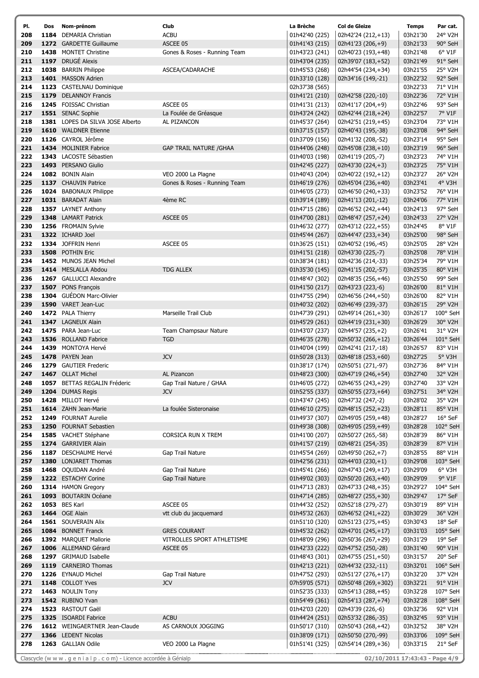| PI. | Dos | Nom-prénom                       | Club                           | La Brèche      | <b>Col de Gleize</b> | <b>Temps</b>     | Par cat.         |
|-----|-----|----------------------------------|--------------------------------|----------------|----------------------|------------------|------------------|
| 208 |     | 1184 DEMARIA Christian           | <b>ACBU</b>                    | 01h42'40 (225) | 02h42'24 (212,+13)   | 03h21'30         | 24° V2H          |
| 209 |     | 1272 GARDETTE Guillaume          | ASCEE 05                       | 01h41'43 (215) | 02h41'23 (206,+9)    | 03h21'33         | 90° SeH          |
| 210 |     | 1438 MONTET Christine            | Gones & Roses - Running Team   | 01h43'23 (241) | 02h40'23 (193,+48)   | 03h21'48         | 6° V1F           |
| 211 |     | 1197 DRUGÉ Alexis                |                                | 01h43'04 (235) | 02h39'07 (183,+52)   | 03h21'49         | 91° SeH          |
| 212 |     | 1038 BARRIN Philippe             | ASCEA/CADARACHE                | 01h45'53 (268) | 02h44'54 (234,+34)   | 03h21'55         | 25° V2H          |
| 213 |     | 1401 MASSON Adrien               |                                | 01h33'10 (128) | 02h34'16 (149,-21)   | 03h22'32         | 92° SeH          |
| 214 |     | 1123 CASTELNAU Dominique         |                                | 02h37'38 (565) |                      | 03h22'33         | 71° V1H          |
| 215 |     | 1179 DELANNOY Francis            |                                | 01h41'21 (210) | 02h42'58 (220,-10)   | 03h22'36         | 72° V1H          |
| 216 |     | 1245 FOISSAC Christian           | ASCEE 05                       | 01h41'31 (213) | 02h41'17 (204,+9)    | 03h22'46         | 93° SeH          |
| 217 |     | 1551 SENAC Sophie                | La Foulée de Gréasque          | 01h43'24 (242) | 02h42'44 (218,+24)   | 03h22'57         | 7° V1F           |
| 218 |     | 1381 LOPES DA SILVA JOSE Alberto | AL PIZANCON                    | 01h45'37 (264) | 02h42'51 (219,+45)   | 03h23'04         | 73° V1H          |
| 219 |     | 1610 WALDNER Etienne             |                                | 01h37'15 (157) | 02h40'43 (195,-38)   | 03h23'08         | 94° SeH          |
| 220 |     | 1126 CAYROL Jérôme               |                                | 01h37'09 (156) | 02h41'32 (208,-52)   | 03h23'14         | 95° SeH          |
| 221 |     | 1434 MOLINIER Fabrice            | <b>GAP TRAIL NATURE / GHAA</b> | 01h44'06 (248) | 02h45'08 (238,+10)   | 03h23'19         | 96° SeH          |
| 222 |     | 1343 LACOSTE Sébastien           |                                | 01h40'03 (198) | 02h41'19 (205,-7)    | 03h23'23         | 74° V1H          |
| 223 |     | 1493 PERSANO Giulio              |                                | 01h42'45 (227) | 02h43'30 (224,+3)    | 03h23'25         | 75° V1H          |
| 224 |     | 1082 BONIN Alain                 | VEO 2000 La Plagne             | 01h40'43 (204) | 02h40'22 (192,+12)   | 03h23'27         | 26° V2H          |
| 225 |     | 1137 CHAUVIN Patrice             | Gones & Roses - Running Team   | 01h46'19 (276) | 02h45'04 (236,+40)   | 03h23'41         | 4° V3H           |
| 226 |     | 1024 BABONAUX Philippe           |                                | 01h46'05 (273) | 02h46'50 (240,+33)   | 03h23'52         | 76° V1H          |
| 227 |     | 1031 BARADAT Alain               | 4ème RC                        | 01h39'14 (189) | 02h41'13 (201,-12)   | 03h24'06         | 77° V1H          |
| 228 |     | 1357 LAYNET Anthony              |                                | 01h47'15 (286) | 02h46'52 (242,+44)   | 03h24'13         | 97° SeH          |
| 229 |     | 1348 LAMART Patrick              | ASCEE 05                       | 01h47'00 (281) | 02h48'47 (257,+24)   | 03h24'33         | 27° V2H          |
| 230 |     | 1256 FROMAIN Sylvie              |                                | 01h46'32 (277) | 02h43'12 (222,+55)   | 03h24'45         | 8° V1F           |
| 231 |     | 1322 ICHARD Joel                 |                                | 01h45'44 (267) | 02h44'47 (233,+34)   | 03h25'00         | 98° SeH          |
| 232 |     | 1334 JOFFRIN Henri               | ASCEE 05                       | 01h36'25 (151) | 02h40'52 (196,-45)   | 03h25'05         | 28° V2H          |
| 233 |     | 1508 POTHIN Eric                 |                                | 01h41'51 (218) | 02h43'30 (225,-7)    | 03h25'08         | 78° V1H          |
| 234 |     | 1452 MUNOS JEAN Michel           |                                | 01h38'34 (181) | 02h42'36 (214,-33)   | 03h25'34         | 79° V1H          |
| 235 |     | 1414 MESLALLA Abdou              | <b>TDG ALLEX</b>               | 01h35'30 (145) | 02h41'15 (202,-57)   | 03h25'35         | 80° V1H          |
| 236 |     | 1267 GALLUCCI Alexandre          |                                | 01h48'47 (302) | 02h48'35 (256,+46)   | 03h25'50         | 99° SeH          |
| 237 |     | 1507 PONS François               |                                | 01h41'50 (217) | 02h43'23 (223,-6)    | 03h26'00         | 81° V1H          |
| 238 |     | 1304 GUÉDON Marc-Olivier         |                                | 01h47'55 (294) | 02h46'56 (244,+50)   | 03h26'00         | 82° V1H          |
| 239 |     | 1590 VARET Jean-Luc              |                                | 01h40'32 (202) | 02h46'49 (239,-37)   | 03h26'15         | 29° V2H          |
| 240 |     | 1472 PALA Thierry                | Marseille Trail Club           | 01h47'39 (291) | 02h49'14 (261,+30)   | 03h26'17         | 100° SeH         |
| 241 |     | 1347 LAGNEUX Alain               |                                | 01h45'29 (261) | 02h44'19 (231,+30)   | 03h26'29         | 30° V2H          |
| 242 |     | 1475 PARA Jean-Luc               | Team Champsaur Nature          | 01h43'07 (237) | 02h44'57 (235,+2)    | 03h26'41         | 31° V2H          |
| 243 |     | 1536 ROLLAND Fabrice             | <b>TGD</b>                     | 01h46'35 (278) | 02h50'32 (266,+12)   | 03h26'44         | 101° SeH         |
| 244 |     | 1439 MONTOYA Hervé               |                                | 01h40'04 (199) | 02h42'41 (217,-18)   | 03h26'57         | 83° V1H          |
| 245 |     | 1478 PAYEN Jean                  | <b>JCV</b>                     | 01h50'28 (313) | 02h48'18 (253,+60)   | 03h27'25         | 5° V3H           |
| 246 |     | 1279 GAUTIER Frederic            |                                | 01h38'17 (174) | 02h50'51 (271,-97)   | 03h27'36         | 84° V1H          |
| 247 |     | 1467 OLLAT Michel                | AL Pizancon                    | 01h48'23 (300) | 02h47'19 (246,+54)   | 03h27'40         | 32° V2H          |
| 248 |     | 1057 BETTAS REGALIN Fréderic     | Gap Trail Nature / GHAA        | 01h46'05 (272) | 02h46'55 (243,+29)   | 03h27'40 33° V2H |                  |
| 249 |     | 1204 DUMAS Regis                 | <b>JCV</b>                     | 01h52'55 (337) | 02h50'55 (273,+64)   | 03h27'51         | 34° V2H          |
| 250 |     | 1428 MILLOT Hervé                |                                | 01h43'47 (245) | 02h47'32 (247,-2)    | 03h28'02         | 35° V2H          |
| 251 |     | 1614 ZAHN Jean-Marie             | La foulée Sisteronaise         | 01h46'10 (275) | 02h48'15 (252,+23)   | 03h28'11         | 85° V1H          |
| 252 |     | 1249 FOURNAT Aurelie             |                                | 01h49'37 (307) | 02h49'05 (259,+48)   | 03h28'27         | 16° SeF          |
| 253 |     | 1250 FOURNAT Sebastien           |                                | 01h49'38 (308) | 02h49'05 (259,+49)   | 03h28'28         | 102° SeH         |
| 254 |     | 1585 VACHET Stéphane             | CORSICA RUN X TREM             | 01h41'00 (207) | 02h50'27 (265,-58)   | 03h28'39         | 86° V1H          |
| 255 |     | 1274 GARRIVIER Alain             |                                | 01h41'57 (219) | 02h48'21 (254,-35)   | 03h28'39         | 87° V1H          |
| 256 |     | 1187 DESCHAUME Hervé             | Gap Trail Nature               | 01h45'54 (269) | 02h49'50 (262,+7)    | 03h28'55         | 88° V1H          |
| 257 |     | 1380 LONJARET Thomas             |                                | 01h42'56 (231) | 02h44'03 (230,+1)    | 03h29'08         | 103° SeH         |
| 258 |     | 1468 OQUIDAN André               | Gap Trail Nature               | 01h45'41 (266) | 02h47'43 (249,+17)   | 03h29'09         | $6°$ V3H         |
| 259 |     | 1222 ESTACHY Corine              | Gap Trail Nature               | 01h49'02 (303) | 02h50'20 (263,+40)   | 03h29'09         | 9° V1F           |
| 260 |     | 1314 HAMON Gregory               |                                | 01h47'13 (283) | 02h47'33 (248,+35)   | 03h29'27         | 104° SeH         |
| 261 |     | 1093 BOUTARIN Océane             |                                | 01h47'14 (285) | 02h48'27 (255,+30)   | 03h29'47         | $17°$ SeF        |
| 262 |     | 1053 BES Karl                    | ASCEE 05                       | 01h44'32 (252) | 02h52'18 (279,-27)   | 03h30'19         | 89° V1H          |
| 263 |     | 1464 OGE Alain                   | vtt club du jacquemard         | 01h45'32 (263) | 02h46'52 (241,+22)   | 03h30'29         | 36° V2H          |
| 264 |     | 1561 SOUVERAIN Alix              |                                | 01h51'10 (320) | 02h51'23 (275,+45)   | 03h30'43         | 18° SeF          |
| 265 |     | 1084 BONNET Franck               | <b>GRES COURANT</b>            | 01h45'32 (262) | 02h47'01 (245,+17)   | 03h31'03         | 105° SeH         |
| 266 |     | 1392 MARQUET Mallorie            | VITROLLES SPORT ATHLETISME     | 01h48'09 (296) | 02h50'36 (267,+29)   | 03h31'29         | 19° SeF          |
| 267 |     | 1006 ALLEMAND Gérard             | ASCEE 05                       | 01h42'33 (222) | 02h47'52 (250,-28)   | 03h31'40         | $90^\circ$ V1H   |
| 268 |     | 1297 GRIMAUD Isabelle            |                                | 01h48'43 (301) | 02h47'55 (251,+50)   | 03h31'57         | 20° SeF          |
| 269 |     | 1119 CARNEIRO Thomas             |                                | 01h42'13 (221) | 02h44'32 (232,-11)   | 03h32'01         | 106° SeH         |
| 270 |     | 1226 EYNAUD Michel               | Gap Trail Nature               | 01h47'52 (293) | 02h51'27 (276,+17)   | 03h32'20         | 37° V2H          |
| 271 |     | 1148 COLLOT Yves                 | <b>JCV</b>                     | 07h59'05 (571) | 02h50'48 (269,+302)  | 03h32'21         | $91^{\circ}$ V1H |
| 272 |     | 1463 NOULIN Tony                 |                                | 01h52'35 (333) | 02h54'13 (288,+45)   | 03h32'28         | 107° SeH         |
| 273 |     | 1542 RUBINO Yvan                 |                                | 01h54'49 (361) | 02h54'13 (287,+74)   | 03h32'28         | 108° SeH         |
| 274 |     | 1523 RASTOUT Gaël                |                                | 01h42'03 (220) | 02h43'39 (226,-6)    | 03h32'36         | 92° V1H          |
| 275 |     | 1325 ISOARDI Fabrice             | <b>ACBU</b>                    | 01h44'24 (251) | 02h53'32 (286,-35)   | 03h32'45         | 93° V1H          |
| 276 |     | 1612 WEINGAERTNER Jean-Claude    | AS CARNOUX JOGGING             | 01h50'17 (310) | 02h50'43 (268,+42)   | 03h32'52         | 38° V2H          |
| 277 |     | 1366 LEDENT Nicolas              |                                | 01h38'09 (171) | 02h50'50 (270,-99)   | 03h33'06         | 109° SeH         |
| 278 |     | 1263 GALLIAN Odile               | VEO 2000 La Plagne             | 01h51'41 (325) | 02h54'14 (289,+36)   | 03h33'15         | 21° SeF          |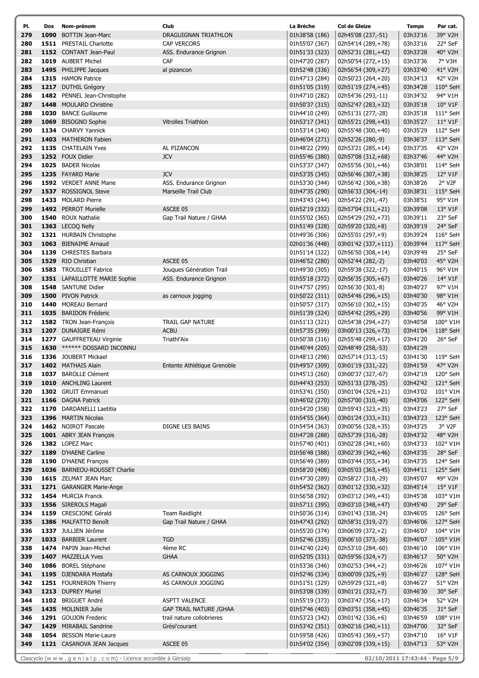| PI. | Dos  | Nom-prénom                                      | Club                           | La Brèche      | Col de Gleize       | <b>Temps</b> | Par cat.              |
|-----|------|-------------------------------------------------|--------------------------------|----------------|---------------------|--------------|-----------------------|
| 279 |      | 1090 BOTTIN Jean-Marc                           | DRAGUIGNAN TRIATHLON           | 01h38'58 (186) | 02h45'08 (237,-51)  | 03h33'16     | 39° V2H               |
| 280 |      | 1511 PRESTAIL Charlotte                         | CAP VERCORS                    | 01h55'07 (367) | 02h54'14 (289,+78)  | 03h33'16     | 22° SeF               |
| 281 |      | 1152 CONTANT Jean-Paul                          | ASS. Endurance Grignon         | 01h51'33 (323) | 02h52'31 (281,+42)  | 03h33'28     | 40° V2H               |
| 282 |      | 1019 AUBERT Michel                              | CAF                            | 01h47'20 (287) | 02h50'54 (272,+15)  | 03h33'36     | 7° V3H                |
| 283 |      | 1495 PHILIPPE Jacques                           | al pizancon                    | 01h52'48 (336) | 02h56'54 (309,+27)  | 03h33'40     | 41° V2H               |
| 284 |      | 1315 HAMON Patrice                              |                                | 01h47'13 (284) | 02h50'23 (264,+20)  | 03h34'13     | 42° V2H               |
| 285 |      | 1217 DUTHIL Grégory                             |                                | 01h51'05 (319) | 02h51'19 (274,+45)  | 03h34'28     | 110° SeH              |
| 286 |      | 1482 PENNEL Jean-Christophe                     |                                | 01h47'10 (282) | 02h54'36 (293,-11)  | 03h34'32     | 94° V1H               |
| 287 |      | 1448 MOULARD Christine                          |                                | 01h50'37 (315) | 02h52'47 (283,+32)  | 03h35'18     | $10^{\circ}$ V1F      |
| 288 |      | 1030 BANCE Guillaume                            |                                | 01h44'10 (249) | 02h51'31 (277,-28)  | 03h35'18     | 111° SeH              |
| 289 |      | 1069 BISOGNO Sophie                             | <b>Vitrolles Triathlon</b>     | 01h53'17 (341) | 02h55'21 (298,+43)  | 03h35'27     | $11^{\circ}$ V1F      |
| 290 |      | 1134 CHARVY Yannick                             |                                | 01h53'14 (340) | 02h55'48 (300,+40)  | 03h35'29     | 112° SeH              |
| 291 |      | 1403 MATHERON Fabien                            |                                | 01h46'04 (271) | 02h52'26 (280,-9)   | 03h36'37     | 113° SeH              |
| 292 |      | 1135 CHATELAIN Yves                             | AL PIZANCON                    | 01h48'22 (299) | 02h53'21 (285,+14)  | 03h37'35     | 43° V2H               |
| 293 |      | 1252 FOUX Didier                                | <b>JCV</b>                     | 01h55'46 (380) | 02h57'08 (312,+68)  | 03h37'46     | 44° V2H               |
| 294 |      | 1025 BADER Nicolas                              |                                | 01h53'37 (347) | 02h55'56 (301,+46)  | 03h38'01     | 114° SeH              |
| 295 |      | 1235 FAYARD Marie                               | <b>JCV</b>                     | 01h53'35 (345) | 02h56'46 (307,+38)  | 03h38'25     | 12° V1F               |
| 296 |      | 1592 VERDET ANNE Marie                          | ASS. Endurance Grignon         | 01h53'30 (344) | 02h56'42 (306,+38)  | 03h38'26     | $2°$ V <sub>2</sub> F |
| 297 |      | 1537 ROSSIGNOL Steve                            | Marseille Trail Club           | 01h47'35 (290) | 02h56'33 (304,-14)  | 03h38'31     | 115° SeH              |
| 298 |      | 1433 MOLARD Pierre                              |                                | 01h43'43 (244) | 02h54'22 (291,-47)  | 03h38'51     | 95° V1H               |
| 299 |      | 1492 PERROT Murielle                            | ASCEE 05                       | 01h52'19 (332) | 02h57'04 (311,+21)  | 03h39'08     | 13° V1F               |
| 300 |      | 1540 ROUX Nathalie                              |                                | 01h55'02 (365) |                     |              | 23° SeF               |
| 301 |      | 1363 LECOO Nelly                                | Gap Trail Nature / GHAA        |                | 02h54'29 (292,+73)  | 03h39'11     | 24° SeF               |
|     |      |                                                 |                                | 01h51'49 (328) | 02h59'20 (320,+8)   | 03h39'19     |                       |
| 302 |      | 1321 HURBAIN Christophe<br>1063 BIENAIME Arnaud |                                | 01h49'36 (306) | 02h55'01 (297,+9)   | 03h39'24     | 116° SeH              |
| 303 |      |                                                 |                                | 02h01'36 (448) | 03h01'42 (337,+111) | 03h39'44     | 117° SeH<br>25° SeF   |
| 304 |      | 1139 CHRESTES Barbara                           |                                | 01h51'14 (322) | 02h56'50 (308,+14)  | 03h39'49     |                       |
| 305 |      | 1529 RIO Christian                              | ASCEE 05                       | 01h46'52 (280) | 02h52'44 (282,-2)   | 03h40'03     | 45° V2H               |
| 306 |      | 1583 TROUILLET Fabrice                          | Jouques Génération Trail       | 01h49'30 (305) | 02h59'38 (322,-17)  | 03h40'15     | 96° V1H               |
| 307 |      | 1351 LAPAILLOTTE MARIE Sophie                   | ASS. Endurance Grignon         | 01h55'18 (372) | 02h56'35 (305,+67)  | 03h40'26     | $14^{\circ}$ V1F      |
| 308 |      | 1548 SANTUNE Didier                             |                                | 01h47'57 (295) | 02h56'30 (303,-8)   | 03h40'27     | 97° V1H               |
| 309 |      | 1500 PIVON Patrick                              | as carnoux jogging             | 01h50'22 (311) | 02h54'46 (296,+15)  | 03h40'30     | 98° V1H               |
| 310 | 1440 | <b>MOREAU Bernard</b>                           |                                | 01h50'57 (317) | 02h56'10 (302,+15)  | 03h40'35     | 46° V2H               |
| 311 |      | 1035 BARIDON Fréderic                           |                                | 01h51'39 (324) | 02h54'42 (295,+29)  | 03h40'56     | 99° V1H               |
| 312 |      | 1582 TRON Jean-François                         | <b>TRAIL GAP NATURE</b>        | 01h51'13 (321) | 02h54'38 (294,+27)  | 03h40'58     | 100° V1H              |
| 313 |      | 1207 DUNAIGRE Rémi                              | <b>ACBU</b>                    | 01h57'35 (399) | 03h00'13 (326,+73)  | 03h41'04     | 118° SeH              |
| 314 |      | 1277 GAUFFRETEAU Virginie                       | Triathl'Aix                    | 01h50'38 (316) | 02h55'48 (299,+17)  | 03h41'20     | 26° SeF               |
| 315 |      | 1630 ****** DOSSARD INCONNU                     |                                | 01h40'44 (205) | 02h48'49 (258,-53)  | 03h41'29     |                       |
| 316 |      | 1336 JOUBERT Mickael                            |                                | 01h48'13 (298) | 02h57'14 (313,-15)  | 03h41'30     | $119°$ SeH            |
| 317 |      | 1402 MATHAIS Alain                              | Entente Athlétique Grenoble    | 01h49'57 (309) | 03h01'19 (331,-22)  | 03h41'59     | 47° V2H               |
| 318 |      | 1037 BAROLLE Clément                            |                                | 01h45'13 (260) | 03h00'37 (327,-67)  | 03h42'19     | 120° SeH              |
| 319 |      | 1010 ANCHLING Laurent                           |                                | 01h44'43 (253) | 02h51'33 (278,-25)  |              | 03h42'42 121° SeH     |
| 320 |      | 1302 GRUIT Emmanuel                             |                                | 01h53'41 (350) | 03h01'04 (329,+21)  | 03h43'02     | 101° V1H              |
| 321 |      | 1166 DAGNA Patrick                              |                                | 01h46'02 (270) | 02h57'00 (310,-40)  | 03h43'06     | 122° SeH              |
| 322 |      | 1170 DARDANELLI Laetitia                        |                                | 01h54'20 (358) | 02h59'43 (323,+35)  | 03h43'23     | 27° SeF               |
| 323 |      | 1396 MARTIN Nicolas                             |                                | 01h54'55 (364) | 03h01'24 (333,+31)  | 03h43'23     | 123° SeH              |
| 324 |      | 1462 NOIROT Pascale                             | DIGNE LES BAINS                | 01h54'54 (363) | 03h00'56 (328,+35)  | 03h43'25     | 3° V2F                |
| 325 |      | 1001 ABRY JEAN François                         |                                | 01h47'28 (288) | 02h57'39 (316,-28)  | 03h43'32     | 48° V2H               |
| 326 |      | 1382 LOPEZ Marc                                 |                                | 01h57'40 (401) | 03h02'28 (341,+60)  | 03h43'33     | 102° V1H              |
| 327 |      | 1189 D'HAENE Carline                            |                                | 01h56'48 (388) | 03h02'39 (342,+46)  | 03h43'35     | 28° SeF               |
| 328 |      | 1190 D'HAENE François                           |                                | 01h56'49 (389) | 03h03'44 (355,+34)  | 03h43'35     | 124° SeH              |
| 329 |      | 1036 BARNEOU-ROUSSET Charlie                    |                                | 01h58'20 (408) | 03h05'03 (363,+45)  | 03h44'11     | 125° SeH              |
| 330 |      | 1615 ZELMAT JEAN Marc                           |                                | 01h47'30 (289) | 02h58'27 (318,-29)  | 03h45'07     | 49° V2H               |
| 331 |      | 1271 GARANGER Marie-Ange                        |                                | 01h54'52 (362) | 03h01'12 (330,+32)  | 03h45'14     | $15^{\circ}$ V1F      |
| 332 |      | 1454 MURCIA Franck                              |                                | 01h56'58 (392) | 03h03'12 (349,+43)  | 03h45'38     | 103° V1H              |
| 333 |      | 1556 SIREROLS Magali                            |                                | 01h57'11 (395) | 03h03'10 (348,+47)  | 03h45'40     | 29° SeF               |
| 334 |      | 1159 CRESCIONE Gérald                           | <b>Team Raidlight</b>          | 01h50'36 (314) | 03h01'43 (338,-24)  | 03h46'05     | 126° SeH              |
| 335 |      | 1386 MALFATTO Benoît                            | Gap Trail Nature / GHAA        | 01h47'43 (292) | 02h58'31 (319,-27)  | 03h46'06     | 127° SeH              |
| 336 |      | 1337 JULLIEN Jérôme                             |                                | 01h55'20 (374) | 03h06'09 (372,+2)   | 03h46'07     | 104° V1H              |
| 337 |      | 1033 BARBIER Laurent                            | <b>TGD</b>                     | 01h52'46 (335) | 03h06'10 (373,-38)  | 03h46'07     | 105° V1H              |
| 338 |      | 1474 PAPIN Jean-Michel                          | 4ème RC                        | 01h42'40 (224) | 02h53'10 (284,-60)  | 03h46'10     | 106° V1H              |
| 339 |      | 1407 MAZZELLA Yves                              | <b>GHAA</b>                    | 01h52'05 (331) | 02h59'56 (324,+7)   | 03h46'17     | 50° V2H               |
| 340 |      | 1086 BOREL Stéphane                             |                                | 01h53'36 (346) | 03h02'53 (344,+2)   | 03h46'26     | 107° V1H              |
| 341 |      | 1195 DJENDARA Mostafa                           | AS CARNOUX JOGGING             | 01h52'46 (334) | 03h00'09 (325,+9)   | 03h46'27     | 128° SeH              |
| 342 |      | 1251 FOURNERON Thierry                          | AS CARNOUX JOGGING             | 01h51'51 (329) | 02h59'29 (321,+8)   | 03h46'27     | 51° V2H               |
| 343 |      | 1213 DUPREY Muriel                              |                                | 01h53'08 (339) | 03h01'21 (332,+7)   | 03h46'30     | 30° SeF               |
| 344 |      | 1102 BRIGUET André                              | <b>ASPTT VALENCE</b>           | 01h55'19 (373) | 03h03'47 (356,+17)  | 03h46'34     | 52° V2H               |
| 345 |      | 1435 MOLINIER Julie                             | <b>GAP TRAIL NATURE / GHAA</b> | 01h57'46 (403) | 03h03'51 (358,+45)  | 03h46'35     | 31° SeF               |
| 346 |      | 1291 GOUJON Frederic                            | trail nature collobrieres      | 01h53'23 (342) | 03h01'42 (336,+6)   | 03h46'59     | 108° V1H              |
| 347 |      | 1429 MIRABAIL Sandrine                          | Grési'courant                  | 01h53'42 (351) | 03h02'16 (340,+11)  | 03h47'00     | 32° SeF               |
| 348 |      | 1054 BESSON Marie-Laure                         |                                | 01h59'58 (426) | 03h05'43 (369,+57)  | 03h47'10     | $16^{\circ}$ V1F      |
| 349 |      | 1121 CASANOVA JEAN Jacques                      | ASCEE 05                       | 01h54'02 (354) | 03h02'09 (339,+15)  | 03h47'13     | 53° V2H               |
|     |      |                                                 |                                |                |                     |              |                       |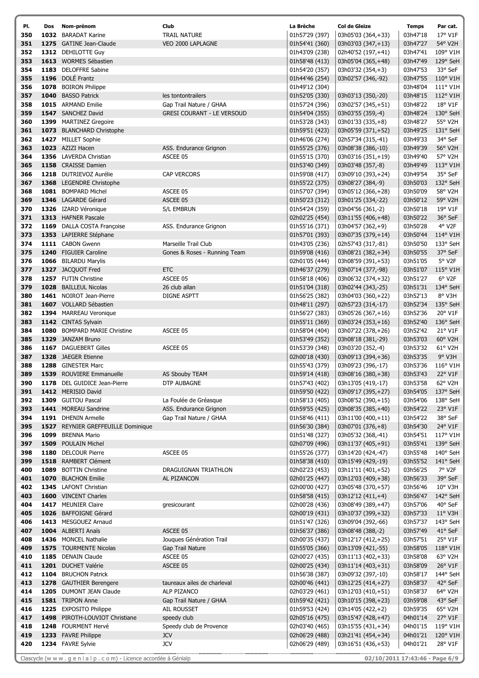| PI. | Dos  | Nom-prénom                          | Club                              | La Brèche      | <b>Col de Gleize</b> | <b>Temps</b>     | Par cat.              |
|-----|------|-------------------------------------|-----------------------------------|----------------|----------------------|------------------|-----------------------|
| 350 |      | 1032 BARADAT Karine                 | <b>TRAIL NATURE</b>               | 01h57'29 (397) | 03h05'03 (364,+33)   | 03h47'18         | 17° V1F               |
| 351 |      | 1275 GATINE Jean-Claude             | VEO 2000 LAPLAGNE                 | 01h54'41 (360) | 03h03'03 (347,+13)   | 03h47'27         | 54° V2H               |
| 352 |      | 1312 DEHILOTTE Guy                  |                                   | 01h43'09 (238) | 02h40'52 (197,+41)   | 03h47'41         | 109° V1H              |
| 353 |      | 1613 WORMES Sébastien               |                                   | 01h58'48 (413) | 03h05'04 (365,+48)   | 03h47'49         | 129° SeH              |
| 354 |      | 1183 DELOFFRE Sabine                |                                   | 01h54'20 (357) | 03h03'32 (354,+3)    | 03h47'53         | 33° SeF               |
| 355 |      | 1196 DOLÉ Frantz                    |                                   | 01h44'46 (254) | 03h02'57 (346,-92)   | 03h47'55         | 110° V1H              |
| 356 |      | 1078 BOIRON Philippe                |                                   | 01h49'12 (304) |                      | 03h48'04         | 111° V1H              |
| 357 |      | 1040 BASSO Patrick                  | les tontontrailers                | 01h52'05 (330) | 03h03'13 (350,-20)   | 03h48'15         | 112° V1H              |
| 358 |      | 1015 ARMAND Emilie                  | Gap Trail Nature / GHAA           | 01h57'24 (396) | 03h02'57 (345,+51)   | 03h48'22         | 18° V1F               |
| 359 |      | 1547 SANCHEZ David                  | <b>GRESI COURANT - LE VERSOUD</b> | 01h54'04 (355) | 03h03'55 (359,-4)    | 03h48'24         | 130° SeH              |
| 360 |      | 1399 MARTINEZ Gregoire              |                                   | 01h53'28 (343) | 03h01'33 (335,+8)    | 03h48'27         | 55° V2H               |
| 361 |      | 1073 BLANCHARD Christophe           |                                   | 01h59'51 (423) | 03h05'59 (371,+52)   | 03h49'25         | 131° SeH              |
| 362 |      | 1427 MILLET Sophie                  |                                   | 01h46'06 (274) | 02h57'34 (315,-41)   | 03h49'33         | 34° SeF               |
| 363 |      | 1023 AZIZI Hacen                    | ASS. Endurance Grignon            | 01h55'25 (376) | 03h08'38 (386,-10)   | 03h49'39         | 56° V2H               |
| 364 |      | 1356 LAVERDA Christian              | ASCEE 05                          | 01h55'15 (370) | 03h03'16 (351,+19)   | 03h49'40         | 57° V2H               |
| 365 |      | 1158 CRAISSE Damien                 |                                   | 01h53'40 (349) | 03h03'48 (357,-8)    | 03h49'49         | 113° V1H              |
| 366 |      | 1218 DUTRIEVOZ Aurélie              | <b>CAP VERCORS</b>                | 01h59'08 (417) | 03h09'10 (393,+24)   | 03h49'54         | 35° SeF               |
| 367 |      | 1368 LEGENDRE Christophe            |                                   | 01h55'22 (375) | 03h08'27 (384,-9)    | 03h50'03         | 132° SeH              |
| 368 |      | 1081 BOMPARD Michel                 | ASCEE 05                          | 01h57'07 (394) | 03h05'12 (366,+28)   | 03h50'09         | 58° V2H               |
| 369 |      | 1346 LAGARDE Gérard                 | ASCEE 05                          | 01h50'23 (312) | 03h01'25 (334,-22)   | 03h50'12         | 59° V2H               |
| 370 |      | 1326 IZARD Véronique                | <b>S/L EMBRUN</b>                 | 01h54'24 (359) | 03h04'56 (361,-2)    | 03h50'18         | 19° V1F               |
| 371 |      | 1313 HAFNER Pascale                 |                                   | 02h02'25 (454) | 03h11'55 (406,+48)   | 03h50'22         | 36° SeF               |
| 372 |      | 1169 DALLA COSTA Françoise          | ASS. Endurance Grignon            | 01h55'16 (371) | 03h04'57 (362,+9)    | 03h50'28         | 4° V2F                |
| 373 |      | 1353 LAPIERRE Stéphane              |                                   | 01h57'01 (393) | 03h07'35 (379,+14)   | 03h50'44         | 114° V1H              |
| 374 |      | 1111 CABON Gwenn                    | Marseille Trail Club              | 01h43'05 (236) | 02h57'43 (317,-81)   | 03h50'50         | 133° SeH              |
| 375 |      | 1240 FIGUIER Caroline               | Gones & Roses - Running Team      | 01h59'08 (416) | 03h08'21 (382,+34)   | 03h50'55         | 37° SeF               |
| 376 |      | 1066 BILARDU Marylis                |                                   | 02h01'05 (444) | 03h08'59 (391,+53)   | 03h51'05         | 5° V2F                |
| 377 |      | 1327 JACQUOT Fred                   | <b>ETC</b>                        | 01h46'37 (279) | 03h07'14 (377,-98)   | 03h51'07         | 115° V1H              |
| 378 |      | 1257 FUTIN Christine                | ASCEE 05                          | 01h58'18 (406) | 03h06'32 (374,+32)   | 03h51'27         | $6°$ V <sub>2</sub> F |
| 379 |      | 1028 BAILLEUL Nicolas               | 26 club allan                     | 01h51'04 (318) | 03h02'44 (343,-25)   | 03h51'31         | 134° SeH              |
| 380 |      | 1461 NOIROT Jean-Pierre             | DIGNE ASPTT                       | 01h56'25 (382) | 03h04'03 (360,+22)   | 03h52'13         | 8° V3H                |
| 381 |      | 1607 VOLLARD Sébastien              |                                   | 01h48'11 (297) | 02h57'23 (314,-17)   | 03h52'34         | 135° SeH              |
| 382 |      | 1394 MARREAU Veronique              |                                   | 01h56'27 (383) | 03h05'26 (367,+16)   | 03h52'36         | 20° V1F               |
| 383 |      | 1142 CINTAS Sylvain                 |                                   | 01h55'11 (369) | 03h03'24 (353,+16)   | 03h52'40         | 136° SeH              |
| 384 |      | <b>1080</b> BOMPARD MARIE Christine | ASCEE 05                          | 01h58'04 (404) | 03h07'22 (378,+26)   | 03h52'42         | 21° V1F               |
| 385 |      | 1329 JANZAM Bruno                   |                                   | 01h53'49 (352) | 03h08'18 (381,-29)   | 03h53'03         | 60° V2H               |
| 386 |      | 1167 DAGUEBERT Gilles               | ASCEE 05                          | 01h53'39 (348) | 03h03'20 (352,-4)    | 03h53'32         | 61° V2H               |
| 387 |      | 1328 JAEGER Etienne                 |                                   | 02h00'18 (430) | 03h09'13 (394,+36)   | 03h53'35         | $9°$ V3H              |
| 388 |      | 1288 GINESTER Marc                  |                                   | 01h55'43 (379) | 03h09'23 (396,-17)   | 03h53'36         | 116° V1H              |
| 389 |      | 1539 ROUVIERE Emmanuelle            | AS Sbouby TEAM                    | 01h59'14 (418) | 03h08'16 (380,+38)   | 03h53'43         | 22° V1F               |
| 390 |      | 1178 DEL GUIDICE Jean-Pierre        | DTP AUBAGNE                       | 01h57'43 (402) | 03h13'05 (419,-17)   | 03h53'58 62° V2H |                       |
| 391 |      | 1412 MERISIO David                  |                                   | 01h59'50 (422) | 03h09'17 (395,+27)   | 03h54'05         | 137° SeH              |
| 392 |      | 1309 GUITOU Pascal                  | La Foulée de Gréasque             | 01h58'13 (405) | 03h08'52 (390,+15)   | 03h54'06         | 138° SeH              |
| 393 |      | 1441 MOREAU Sandrine                | ASS. Endurance Grignon            | 01h59'55 (425) | 03h08'35 (385,+40)   | 03h54'22         | 23° V1F               |
| 394 |      | 1191 DHENIN Armelle                 | Gap Trail Nature / GHAA           | 01h58'46 (411) | 03h11'00 (400,+11)   | 03h54'22         | 38° SeF               |
| 395 |      | 1527 REYNIER GREFFEUILLE Dominique  |                                   | 01h56'30 (384) | 03h07'01 (376,+8)    | 03h54'30         | 24° V1F               |
| 396 | 1099 | <b>BRENNA Mario</b>                 |                                   | 01h51'48 (327) | 03h05'32 (368,-41)   | 03h54'51         | 117° V1H              |
| 397 |      | 1509 POULAIN Michel                 |                                   | 02h07'09 (496) | 03h11'37 (405,+91)   | 03h55'41         | 139° SeH              |
| 398 |      | 1180 DELCOUR Pierre                 | ASCEE 05                          | 01h55'26 (377) | 03h14'20 (424,-47)   | 03h55'48         | 140° SeH              |
| 399 |      | 1518 RAMBERT Clément                |                                   | 01h58'38 (410) | 03h15'49 (429,-19)   | 03h55'52         | 141° SeH              |
| 400 |      | 1089 BOTTIN Christine               | DRAGUIGNAN TRIATHLON              | 02h02'23 (453) | 03h11'11 (401,+52)   | 03h56'25         | 7° V2F                |
| 401 |      | 1070 BLACHON Emilie                 | AL PIZANCON                       | 02h01'25 (447) | 03h12'03 (409,+38)   | 03h56'33         | 39° SeF               |
| 402 |      | 1345 LAFONT Christian               |                                   | 02h00'00 (427) | 03h05'48 (370,+57)   | 03h56'46         | 10° V3H               |
| 403 |      | 1600 VINCENT Charles                |                                   | 01h58'58 (415) | 03h12'12 (411,+4)    | 03h56'47         | 142° SeH              |
| 404 |      | 1417 MEUNIER Claire                 | gresicourant                      | 02h00'28 (436) | 03h08'49 (389,+47)   | 03h57'06         | 40° SeF               |
| 405 |      | 1026 BAFFOIGNE Gérard               |                                   | 02h00'19 (431) | 03h10'37 (399,+32)   | 03h57'33         | $11^{\circ}$ V3H      |
| 406 |      | 1413 MESGOUEZ Arnaud                |                                   | 01h51'47 (326) | 03h09'04 (392,-66)   | 03h57'37         | 143° SeH              |
| 407 |      | 1004 ALBERTI Anaïs                  | ASCEE 05                          | 01h56'37 (386) | 03h08'48 (388,-2)    | 03h57'49         | 41° SeF               |
| 408 |      | 1436 MONCEL Nathalie                | Jouques Génération Trail          | 02h00'35 (437) | 03h12'17 (412,+25)   | 03h57'51         | 25° V1F               |
| 409 |      | 1575 TOURMENTE Nicolas              | Gap Trail Nature                  | 01h55'05 (366) | 03h13'09 (421,-55)   | 03h58'05         | 118° V1H              |
| 410 |      | 1185 DENAIN Claude                  | ASCEE 05                          | 02h00'27 (435) | 03h11'13 (402,+33)   | 03h58'08         | $63^{\circ}$ V2H      |
| 411 |      | 1201 DUCHET Valérie                 | ASCEE 05                          | 02h00'25 (434) | 03h11'14 (403,+31)   | 03h58'09         | 26° V1F               |
| 412 |      | 1104 BRUCHON Patrick                |                                   | 01h56'38 (387) | 03h09'32 (397,-10)   | 03h58'17         | 144° SeH              |
| 413 |      | 1278 GAUTHIER Berengere             | taureaux ailes de charleval       | 02h00'46 (441) | 03h12'25 (414,+27)   | 03h58'37         | 42° SeF               |
| 414 |      | 1205 DUMONT JEAN Claude             | ALP PIZANCO                       | 02h03'29 (461) | 03h12'03 (410,+51)   | 03h58'37         | 64° V2H               |
| 415 |      | 1581 TRIPON Anne                    | Gap Trail Nature / GHAA           | 01h59'42 (421) | 03h10'15 (398,+23)   | 03h59'08         | 43° SeF               |
| 416 |      | 1225 EXPOSITO Philippe              | AIL ROUSSET                       | 01h59'53 (424) | 03h14'05 (422,+2)    | 03h59'35         | 65° V2H               |
| 417 |      | 1498 PIROTH-LOUVIOT Christiane      | speedy club                       | 02h05'16 (475) | 03h15'47 (428,+47)   | 04h01'14         | 27° V1F               |
| 418 |      | 1248 FOURMENT Hervé                 | Speedy club de Provence           | 02h03'40 (465) | 03h15'55 (431,+34)   | 04h01'15         | 119° V1H              |
| 419 |      | 1233 FAVRE Philippe                 | <b>JCV</b>                        | 02h06'29 (488) | 03h21'41 (454,+34)   | 04h01'21         | 120° V1H              |
| 420 |      | 1234 FAVRE Sylvie                   | JCV                               | 02h06'29 (489) | 03h16'51 (436,+53)   | 04h01'21         | 28° V1F               |

1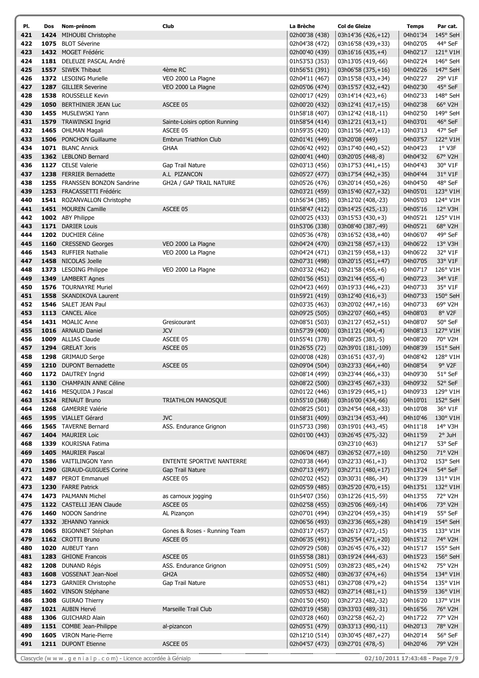| PI. | Dos | Nom-prénom                    | Club                           | La Brèche      | Col de Gleize       | <b>Temps</b> | Par cat.              |
|-----|-----|-------------------------------|--------------------------------|----------------|---------------------|--------------|-----------------------|
| 421 |     | 1424 MIHOUBI Christophe       |                                | 02h00'38 (438) | 03h14'36 (426,+12)  | 04h01'34     | 145° SeH              |
| 422 |     | 1075 BLOT Séverine            |                                | 02h04'38 (472) | 03h16'58 (439,+33)  | 04h02'05     | 44° SeF               |
| 423 |     | 1432 MOGET Frédéric           |                                | 02h00'40 (439) | 03h16'16 (435,+4)   | 04h02'17     | 121° V1H              |
| 424 |     | 1181 DELEUZE PASCAL André     |                                | 01h53'53 (353) | 03h13'05 (419,-66)  | 04h02'24     | 146° SeH              |
| 425 |     | 1557 SIWEK Thibaut            | 4ème RC                        | 01h56'51 (391) | 03h06'58 (375,+16)  | 04h02'26     | 147° SeH              |
| 426 |     | 1372 LESOING Murielle         | VEO 2000 La Plagne             | 02h04'11 (467) | 03h15'58 (433,+34)  | 04h02'27     | 29° V1F               |
| 427 |     | 1287 GILLIER Severine         | VEO 2000 La Plagne             | 02h05'06 (474) | 03h15'57 (432,+42)  | 04h02'30     | 45° SeF               |
| 428 |     | 1538 ROUSSELLE Kevin          |                                | 02h00'17 (429) | $03h14'14(423, +6)$ | 04h02'33     | 148° SeH              |
| 429 |     | 1050 BERTHINIER JEAN Luc      | ASCEE 05                       | 02h00'20 (432) | 03h12'41 (417,+15)  | 04h02'38     | 66° V2H               |
| 430 |     | 1455 MUSLEWSKI Yann           |                                | 01h58'18 (407) | 03h12'42 (418,-11)  | 04h02'50     | 149° SeH              |
| 431 |     | 1579 TRAWINSKI Ingrid         | Sainte-Loisirs option Running  | 01h58'54 (414) | 03h12'21 (413,+1)   | 04h03'01     | 46° SeF               |
| 432 |     | 1465 OHLMAN Magali            | ASCEE 05                       | 01h59'35 (420) | 03h11'56 (407,+13)  | 04h03'13     | 47° SeF               |
| 433 |     | 1506 PONCHON Guillaume        | Embrun Triathlon Club          |                | 03h20'08 (449)      | 04h03'57     | 122° V1H              |
| 434 |     | 1071 BLANC Annick             |                                | 02h01'41 (449) |                     |              | 1° V3F                |
|     |     |                               | <b>GHAA</b>                    | 02h06'42 (492) | 03h17'40 (440,+52)  | 04h04'23     |                       |
| 435 |     | 1362 LEBLOND Bernard          |                                | 02h00'41 (440) | 03h20'05 (448,-8)   | 04h04'32     | $67^\circ$ V2H        |
| 436 |     | 1127 CELSE Valerie            | Gap Trail Nature               | 02h03'13 (456) | 03h17'53 (441,+15)  | 04h04'43     | 30° V1F               |
| 437 |     | 1238 FERRIER Bernadette       | A.L PIZANCON                   | 02h05'27 (477) | 03h17'54 (442,+35)  | 04h04'44     | 31° V1F               |
| 438 |     | 1255 FRANSSEN BONZON Sandrine | <b>GH2A / GAP TRAIL NATURE</b> | 02h05'26 (476) | 03h20'14 (450,+26)  | 04h04'50     | 48° SeF               |
| 439 |     | 1253 FRACASSETTI Frédéric     |                                | 02h03'21 (459) | 03h15'40 (427,+32)  | 04h05'01     | 123° V1H              |
| 440 |     | 1541 ROZANVALLON Christophe   |                                | 01h56'34 (385) | 03h12'02 (408,-23)  | 04h05'03     | 124° V1H              |
| 441 |     | 1451 MOUREN Camille           | ASCEE 05                       | 01h58'47 (412) | 03h14'25 (425,-13)  | 04h05'16     | 12° V3H               |
| 442 |     | 1002 ABY Philippe             |                                | 02h00'25 (433) | 03h15'53 (430,+3)   | 04h05'21     | 125° V1H              |
| 443 |     | 1171 DARIER Louis             |                                | 01h53'06 (338) | 03h08'40 (387,-49)  | 04h05'21     | 68° V2H               |
| 444 |     | 1202 DUCHIER Céline           |                                | 02h05'36 (478) | 03h16'52 (438,+40)  | 04h06'07     | 49° SeF               |
| 445 |     | 1160 CRESSEND Georges         | VEO 2000 La Plagne             | 02h04'24 (470) | 03h21'58 (457,+13)  | 04h06'22     | $13^{\circ}$ V3H      |
| 446 |     | 1543 RUFFIER Nathalie         | VEO 2000 La Plagne             | 02h04'24 (471) | 03h21'59 (458,+13)  | 04h06'22     | 32° V1F               |
| 447 |     | 1458 NICOLAS Joelle           |                                | 02h07'31 (498) | 03h20'15 (451,+47)  | 04h07'05     | 33° V1F               |
| 448 |     | 1373 LESOING Philippe         | VEO 2000 La Plagne             | 02h03'32 (462) | $03h21'58(456,+6)$  | 04h07'17     | 126° V1H              |
| 449 |     | 1349 LAMBERT Agnes            |                                | 02h01'56 (451) | 03h21'44 (455,-4)   | 04h07'23     | 34° V1F               |
| 450 |     | 1576 TOURNAYRE Muriel         |                                | 02h04'23 (469) | 03h19'33 (446,+23)  | 04h07'33     | 35° V1F               |
| 451 |     | 1558 SKANDIKOVA Laurent       |                                | 01h59'21 (419) | 03h12'40 (416,+3)   | 04h07'33     | 150° SeH              |
| 452 |     | 1546 SALET JEAN Paul          |                                | 02h03'35 (463) | 03h20'02 (447,+16)  | 04h07'33     | 69° V2H               |
| 453 |     | 1113 CANCEL Alice             |                                | 02h09'25 (505) | 03h22'07 (460,+45)  | 04h08'03     | 8° V2F                |
| 454 |     | 1431 MOALIC Anne              | Gresicourant                   | 02h08'51 (503) | 03h21'27 (452,+51)  | 04h08'07     | 50° SeF               |
| 455 |     | 1016 ARNAUD Daniel            | <b>JCV</b>                     | 01h57'39 (400) | 03h11'21 (404,-4)   | 04h08'13     | 127° V1H              |
| 456 |     | 1009 ALLIAS Claude            | ASCEE 05                       | 01h55'41 (378) | 03h08'25 (383,-5)   | 04h08'20     | 70° V2H               |
| 457 |     | 1294 GRELAT Joris             | ASCEE 05                       | 01h26'55 (72)  | 02h39'01 (181,-109) | 04h08'39     | $151^{\circ}$ SeH     |
| 458 |     | 1298 GRIMAUD Serge            |                                | 02h00'08 (428) | 03h16'51 (437,-9)   | 04h08'42     | 128° V1H              |
| 459 |     | 1210 DUPONT Bernadette        | ASCEE 05                       | 02h09'04 (504) | 03h23'33 (464,+40)  | 04h08'54     | $9°$ V <sub>2</sub> F |
| 460 |     | 1172 DAUTREY Ingrid           |                                | 02h08'14 (499) | 03h23'44 (466,+33)  | 04h09'30     | 51° SeF               |
| 461 |     | 1130 CHAMPAIN ANNE Céline     |                                |                |                     |              | 52° SeF               |
|     |     |                               |                                | 02h08'22 (500) | 03h23'45 (467,+33)  | 04h09'32     | 129° V1H              |
| 462 |     | 1416 MESQUIDA J Pascal        |                                | 02h01'22 (446) | 03h19'29 (445,+1)   | 04h09'33     |                       |
| 463 |     | 1524 RENAUT Bruno             | TRIATHLON MANOSQUE             | 01h55'10 (368) | 03h16'00 (434,-66)  | 04h10'01     | 152° SeH              |
| 464 |     | 1268 GAMERRE Valérie          |                                | 02h08'25 (501) | 03h24'54 (468,+33)  | 04h10'08     | 36° V1F               |
| 465 |     | 1595 VIALLET Gérard           | <b>JVC</b>                     | 01h58'31 (409) | 03h21'34 (453,-44)  | 04h10'46     | 130° V1H              |
| 466 |     | 1565 TAVERNE Bernard          | ASS. Endurance Grignon         | 01h57'33 (398) | 03h19'01 (443,-45)  | 04h11'18     | 14° V3H               |
| 467 |     | 1404 MAURIER Loic             |                                | 02h01'00 (443) | 03h26'45 (475,-32)  | 04h11'59     | $2°$ JuH              |
| 468 |     | 1339 KOURISNA Fatima          |                                |                | 03h23'10 (463)      | 04h12'17     | 53° SeF               |
| 469 |     | 1405 MAURIER Pascal           |                                | 02h06'04 (487) | 03h26'52 (477,+10)  | 04h12'50     | 71° V2H               |
| 470 |     | 1586 VAITILINGON Yann         | ENTENTE SPORTIVE NANTERRE      | 02h03'38 (464) | 03h22'33 (461,+3)   | 04h13'02     | 153° SeH              |
| 471 |     | 1290 GIRAUD-GUIGUES Corine    | Gap Trail Nature               | 02h07'13 (497) | 03h27'11 (480,+17)  | 04h13'24     | 54° SeF               |
| 472 |     | 1487 PEROT Emmanuel           | ASCEE 05                       | 02h02'02 (452) | 03h30'31 (486,-34)  | 04h13'39     | 131° V1H              |
| 473 |     | 1230 FARRE Patrick            |                                | 02h05'59 (485) | 03h25'20 (470,+15)  | 04h13'51     | 132° V1H              |
| 474 |     | 1473 PALMANN Michel           | as carnoux jogging             | 01h54'07 (356) | 03h12'26 (415,-59)  | 04h13'55     | 72° V2H               |
| 475 |     | 1122 CASTELLI JEAN Claude     | ASCEE 05                       | 02h02'58 (455) | 03h25'06 (469,-14)  | 04h14'06     | 73° V2H               |
| 476 |     | 1460 NODON Sandrine           | AL Pizançon                    | 02h07'01 (494) | 03h22'04 (459,+35)  | 04h14'19     | 55° SeF               |
| 477 |     | 1332 JEHANNO Yannick          |                                | 02h06'56 (493) | 03h23'36 (465,+28)  | 04h14'19     | 154° SeH              |
| 478 |     | 1065 BIGONNET Stéphan         | Gones & Roses - Running Team   | 02h03'17 (457) | 03h26'17 (472,-15)  | 04h14'35     | 133° V1H              |
| 479 |     | 1162 CROTTI Bruno             | ASCEE 05                       | 02h06'35 (491) | 03h25'54 (471,+20)  | 04h15'12     | 74° V2H               |
| 480 |     | 1020 AUBEUT Yann              |                                | 02h09'29 (508) | 03h26'45 (476,+32)  | 04h15'17     | 155° SeH              |
| 481 |     | 1283 GHIONE Francois          | ASCEE 05                       | 01h55'58 (381) | 03h19'24 (444,-63)  | 04h15'23     | 156° SeH              |
| 482 |     | 1208 DUNAND Régis             | ASS. Endurance Grignon         | 02h09'51 (509) | 03h28'23 (485,+24)  | 04h15'42     | 75° V2H               |
| 483 |     | 1608 VOSSENAT Jean-Noel       | GH <sub>2</sub> A              | 02h05'52 (480) | 03h26'37 (474,+6)   | 04h15'54     | 134° V1H              |
| 484 |     | 1273 GARNIER Christophe       | Gap Trail Nature               | 02h05'53 (481) | 03h27'08 (479,+2)   | 04h15'54     | 135° V1H              |
| 485 |     | 1602 VINSON Stéphane          |                                | 02h05'53 (482) | 03h27'14 (481,+1)   | 04h15'59     | 136° V1H              |
| 486 |     | 1308 GUIRAO Thierry           |                                | 02h01'50 (450) | 03h27'23 (482,-32)  | 04h16'20     | 137° V1H              |
| 487 |     | 1021 AUBIN Hervé              | Marseille Trail Club           | 02h03'19 (458) | 03h33'03 (489,-31)  | 04h16'56     | 76° V2H               |
| 488 |     | 1306 GUICHARD Alain           |                                | 02h03'28 (460) | 03h22'58 (462,-2)   | 04h17'22     | 77° V2H               |
| 489 |     | 1151 COMBE Jean-Philippe      | al-pizancon                    | 02h05'51 (479) | 03h33'13 (490,-11)  | 04h20'13     | 78° V2H               |
| 490 |     | 1605 VIRON Marie-Pierre       |                                | 02h12'10 (514) | 03h30'45 (487,+27)  | 04h20'14     | 56° SeF               |
| 491 |     | 1211 DUPONT Etienne           | ASCEE 05                       | 02h04'57 (473) | 03h27'01 (478,-5)   | 04h20'46     | 79° V2H               |
|     |     |                               |                                |                |                     |              |                       |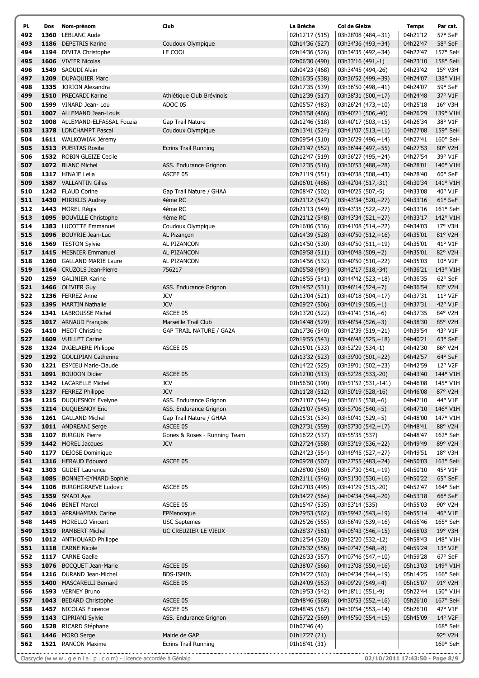| PI. | Dos | Nom-prénom                    | Club                           | La Brèche      | Col de Gleize       | <b>Temps</b>      | Par cat.         |
|-----|-----|-------------------------------|--------------------------------|----------------|---------------------|-------------------|------------------|
| 492 |     | 1360 LEBLANC Aude             |                                | 02h12'17 (515) | 03h28'08 (484,+31)  | 04h21'12          | 57° SeF          |
| 493 |     | 1186 DEPETRIS Karine          | Coudoux Olympique              | 02h14'36 (527) | 03h34'36 (493,+34)  | 04h22'47          | 58° SeF          |
| 494 |     | 1194 DIVITA Christophe        | LE COOL                        | 02h14'36 (526) | 03h34'35 (492,+34)  | 04h22'47          | 157° SeH         |
| 495 |     | 1606 VIVIER Nicolas           |                                | 02h06'30 (490) | 03h33'16 (491,-1)   | 04h23'10          | 158° SeH         |
| 496 |     | 1549 SAOUDI Alain             |                                | 02h04'23 (468) | 03h34'45 (494,-26)  | 04h23'42          | 15° V3H          |
| 497 |     | 1209 DUPAQUIER Marc           |                                | 02h16'35 (538) | 03h36'52 (499,+39)  | 04h24'07          | 138° V1H         |
| 498 |     | 1335 JORION Alexandra         |                                | 02h17'35 (539) | 03h36'50 (498,+41)  | 04h24'07          | 59° SeF          |
| 499 |     | 1510 PRECARDI Karine          | Athlétique Club Brévinois      | 02h12'39 (517) | 03h38'31 (500,+17)  | 04h24'48          | 37° V1F          |
| 500 |     | 1599 VINARD Jean- Lou         | ADOC 05                        | 02h05'57 (483) | 03h26'24 (473,+10)  | 04h25'18          | $16^{\circ}$ V3H |
| 501 |     | 1007 ALLEMAND Jean-Louis      |                                | 02h03'58 (466) | 03h40'21 (506,-40)  | 04h26'29          | 139° V1H         |
| 502 |     | 1008 ALLEMAND-ELFASSAL Fouzia | Gap Trail Nature               | 02h12'46 (518) | 03h40'17 (503,+15)  | 04h26'34          | 38° V1F          |
| 503 |     | 1378 LONCHAMPT Pascal         | Coudoux Olympique              | 02h13'41 (524) | 03h41'07 (513,+11)  | 04h27'08          | 159° SeH         |
| 504 |     | 1611 WALKOWIAK Jéremy         |                                | 02h09'54 (510) | 03h36'29 (496,+14)  | 04h27'41          | 160° SeH         |
| 505 |     | 1513 PUERTAS Rosita           | <b>Ecrins Trail Running</b>    | 02h21'47 (552) | 03h36'44 (497,+55)  | 04h27'53          | 80° V2H          |
| 506 |     | 1532 ROBIN GLEIZE Cecile      |                                | 02h12'47 (519) | 03h36'27 (495,+24)  | 04h27'54          | 39° V1F          |
| 507 |     | 1072 BLANC Michel             | ASS. Endurance Grignon         | 02h12'35 (516) | 03h30'53 (488,+28)  | 04h28'01          | 140° V1H         |
| 508 |     | 1317 HINAJE Leila             | ASCEE 05                       | 02h21'19 (551) | 03h40'38 (508,+43)  | 04h28'40          | 60° SeF          |
| 509 |     | 1587 VALLANTIN Gilles         |                                | 02h06'01 (486) | 03h42'04 (517,-31)  | 04h30'34          | 141° V1H         |
| 510 |     | 1242 FLAUD Corine             | Gap Trail Nature / GHAA        | 02h08'47 (502) | 03h40'25 (507,-5)   | 04h33'08          | 40° V1F          |
| 511 |     | 1430 MIRIKLIS Audrey          | 4ème RC                        | 02h21'12 (547) | 03h43'34 (520,+27)  | 04h33'16          | 61° SeF          |
| 512 |     | 1443 MOREL Régis              | 4ème RC                        | 02h21'13 (549) | 03h43'35 (522,+27)  | 04h33'16          | 161° SeH         |
| 513 |     | 1095 BOUVILLE Christophe      | 4ème RC                        | 02h21'12 (548) | 03h43'34 (521,+27)  | 04h33'17          | 142° V1H         |
| 514 |     | 1383 LUCOTTE Emmanuel         | Coudoux Olympique              | 02h16'06 (536) | 03h41'08 (514,+22)  | 04h34'03          | 17° V3H          |
| 515 |     | 1096 BOUYRIE Jean-Luc         | AL Pizançon                    | 02h14'39 (528) | 03h40'50 (512,+16)  | 04h35'01          | 81° V2H          |
| 516 |     | 1569 TESTON Sylvie            | AL PIZANCON                    | 02h14'50 (530) | 03h40'50 (511,+19)  | 04h35'01          | 41° V1F          |
| 517 |     | 1415 MESNIER Emmanuel         | AL PIZANCON                    | 02h09'58 (511) | 03h40'48 (509,+2)   | 04h35'01          | 82° V2H          |
| 518 |     | 1260 GALLAND MARIE Laure      | AL PIZANCON                    | 02h14'56 (532) | 03h40'50 (510,+22)  | 04h35'03          | $10^{\circ}$ V2F |
| 519 |     | 1164 CRUZOLS Jean-Pierre      | 756217                         | 02h05'58 (484) | 03h42'17 (518,-34)  | 04h36'21          | 143° V1H         |
| 520 |     | 1259 GALINIER Karine          |                                | 02h18'55 (541) | 03h44'42 (523,+18)  | 04h36'35          | 62° SeF          |
| 521 |     | 1466 OLIVIER Guy              | ASS. Endurance Grignon         | 02h14'52 (531) | 03h46'14 (524,+7)   | 04h36'54          | 83° V2H          |
| 522 |     | 1236 FERREZ Anne              | <b>JCV</b>                     | 02h13'04 (521) | 03h40'18 (504,+17)  | 04h37'31          | $11^{\circ}$ V2F |
| 523 |     | 1395 MARTIN Nathalie          | <b>JCV</b>                     | 02h09'27 (506) | 03h40'19 (505,+1)   | 04h37'31          | 42° V1F          |
| 524 |     | 1341 LABROUSSE Michel         | ASCEE 05                       | 02h13'20 (522) | 03h41'41 (516,+6)   | 04h37'35          | 84° V2H          |
| 525 |     | 1017 ARNAUD François          | Marseille Trail Club           | 02h14'48 (529) | 03h48'54 (526,+3)   | 04h38'30          | 85° V2H          |
| 526 |     | 1410 MEOT Christine           | <b>GAP TRAIL NATURE / GA2A</b> | 02h17'36 (540) | 03h42'39 (519,+21)  | 04h39'54          | 43° V1F          |
| 527 |     | 1609 VUILLET Carine           |                                | 02h19'55 (543) | 03h46'48 (525,+18)  | 04h40'21          | 63° SeF          |
| 528 |     | 1324 INGELAERE Philippe       | ASCEE 05                       | 02h15'01 (533) | 03h52'29 (534,-1)   | 04h42'30          | 86° V2H          |
| 529 |     | 1292 GOULIPIAN Catherine      |                                | 02h13'32 (523) | 03h39'00 (501,+22)  | 04h42'57          | 64° SeF          |
| 530 |     | 1221 ESMIEU Marie-Claude      |                                | 02h14'22 (525) | 03h39'01 (502,+23)  | 04h42'59          | 12° V2F          |
| 531 |     | 1091 BOUDON Didier            | ASCEE 05                       | 02h12'00 (513) | 03h52'28 (533,-20)  | 04h43'40          | 144° V1H         |
|     |     | 532 1342 LACARELLE Michel     | <b>JCV</b>                     | 01h56'50 (390) | 03h51'52 (531,-141) | 04h46'08 145° V1H |                  |
| 533 |     | 1237 FERREZ Philippe          | <b>JCV</b>                     | 02h11'28 (512) | 03h50'19 (528,-16)  | 04h46'08          | 87° V2H          |
| 534 |     | 1215 DUQUESNOY Evelyne        | ASS. Endurance Grignon         | 02h21'07 (544) | 03h56'15 (538,+6)   | 04h47'10          | 44° V1F          |
| 535 |     | 1214 DUQUESNOY Eric           | ASS. Endurance Grignon         | 02h21'07 (545) | 03h57'06 (540,+5)   | 04h47'10          | 146° V1H         |
| 536 |     | 1261 GALLAND Michel           | Gap Trail Nature / GHAA        | 02h15'31 (534) | 03h50'41 (529,+5)   | 04h48'00          | 147° V1H         |
| 537 |     | 1011 ANDREANI Serge           | ASCEE 05                       | 02h27'31 (559) | 03h57'30 (542,+17)  | 04h48'41          | 88° V2H          |
| 538 |     | 1107 BURGUN Pierre            | Gones & Roses - Running Team   | 02h16'22 (537) | 03h55'35 (537)      | 04h48'47          | 162° SeH         |
| 539 |     | 1442 MOREL Jacques            | <b>JCV</b>                     | 02h27'24 (558) | 03h53'19 (536,+22)  | 04h49'49          | 89° V2H          |
| 540 |     | 1177 DEJOSE Dominique         |                                | 02h24'23 (554) | 03h49'45 (527,+27)  | 04h49'51          | 18° V3H          |
| 541 |     | 1316 HERAUD Edouard           | ASCEE 05                       | 02h09'28 (507) | 03h27'55 (483,+24)  | 04h50'03          | 163° SeH         |
| 542 |     | 1303 GUDET Laurence           |                                | 02h28'00 (560) | 03h57'30 (541,+19)  | 04h50'10          | 45° V1F          |
| 543 |     | 1085 BONNET-EYMARD Sophie     |                                | 02h21'11 (546) | 03h51'30 (530,+16)  | 04h50'22          | 65° SeF          |
| 544 |     | 1106 BURGHGRAEVE Ludovic      | ASCEE 05                       | 02h07'03 (495) | 03h41'29 (515,-20)  | 04h52'47          | 164° SeH         |
| 545 |     | 1559 SMADI Aya                |                                | 02h34'27 (564) | 04h04'34 (544,+20)  | 04h53'18          | 66° SeF          |
| 546 |     | 1046 BENET Marcel             | ASCEE 05                       | 02h15'47 (535) | 03h53'14 (535)      | 04h55'03          | 90° V2H          |
| 547 |     | 1013 APRAHAMIAN Carine        | EPManosque                     | 02h29'53 (562) | 03h59'42 (543,+19)  | 04h55'14          | 46° V1F          |
| 548 |     | 1445 MORELLO Vincent          | <b>USC Septemes</b>            | 02h25'26 (555) | 03h56'49 (539,+16)  | 04h56'46          | 165° SeH         |
| 549 |     | 1519 RAMBERT Michel           | UC CREUZIER LE VIEUX           | 02h28'37 (561) | 04h05'43 (546,+15)  | 04h58'03          | 19° V3H          |
| 550 |     | 1012 ANTHOUARD Philippe       |                                | 02h12'54 (520) | 03h52'20 (532,-12)  | 04h58'43          | 148° V1H         |
| 551 |     | 1118 CARNE Nicole             |                                | 02h26'32 (556) | 04h07'47 (548,+8)   | 04h59'24          | 13° V2F          |
| 552 |     | 1117 CARNE Gaelle             |                                | 02h26'33 (557) | 04h07'46 (547,+10)  | 04h59'28          | 67° SeF          |
| 553 |     | 1076 BOCQUET Jean-Marie       | ASCEE 05                       | 02h38'07 (566) | 04h13'08 (550,+16)  | 05h13'03          | 149° V1H         |
| 554 |     | 1216 DURAND Jean-Michel       | BDS-ISMIN                      | 02h34'22 (563) | 04h04'34 (544,+19)  | 05h14'25          | $166^\circ$ SeH  |
| 555 |     | 1400 MASCARELLI Bernard       | ASCEE 05                       | 02h24'09 (553) | 04h09'29 (549,+4)   | 05h15'07          | 91° V2H          |
| 556 |     | 1593 VERNEY Bruno             |                                | 02h19'53 (542) | 04h18'11 (551,-9)   | 05h22'44          | 150° V1H         |
| 557 |     | 1043 BEDARD Christophe        | ASCEE 05                       | 02h48'46 (568) | 04h30'53 (552,+16)  | 05h26'10          | 167° SeH         |
| 558 |     | 1457 NICOLAS Florence         | ASCEE 05                       | 02h48'45 (567) | 04h30'54 (553,+14)  | 05h26'10          | 47° V1F          |
| 559 |     | 1143 CIPRIANI Sylvie          | ASS. Endurance Grignon         | 02h57'22 (569) | 04h45'50 (554,+15)  | 05h45'09          | 14° V2F          |
| 560 |     | 1528 RICARD Stéphane          |                                | 01h07'46 (4)   |                     |                   | 168° SeH         |
| 561 |     | 1446 MORO Serge               | Mairie de GAP                  | 01h17'27 (21)  |                     |                   | 92° V2H          |
| 562 |     | 1521 RANCON Maxime            | <b>Ecrins Trail Running</b>    | 01h18'41 (31)  |                     |                   | 169° SeH         |
|     |     |                               |                                |                |                     |                   |                  |